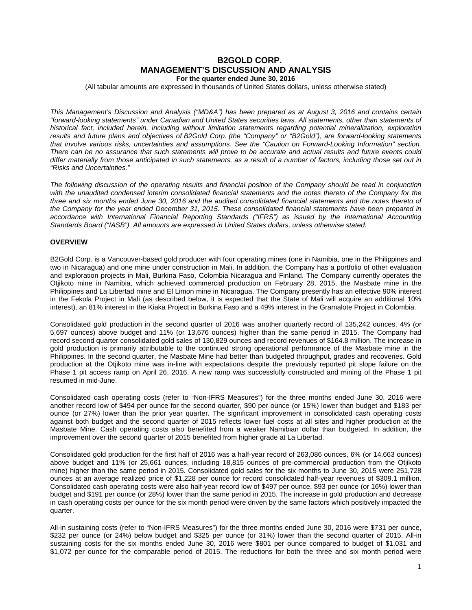# **B2GOLD CORP. MANAGEMENT'S DISCUSSION AND ANALYSIS For the quarter ended June 30, 2016**

(All tabular amounts are expressed in thousands of United States dollars, unless otherwise stated)

*This Management's Discussion and Analysis ("MD&A") has been prepared as at August 3, 2016 and contains certain "forward-looking statements" under Canadian and United States securities laws. All statements, other than statements of historical fact, included herein, including without limitation statements regarding potential mineralization, exploration results and future plans and objectives of B2Gold Corp. (the "Company" or "B2Gold"), are forward-looking statements that involve various risks, uncertainties and assumptions. See the "Caution on Forward-Looking Information" section. There can be no assurance that such statements will prove to be accurate and actual results and future events could differ materially from those anticipated in such statements, as a result of a number of factors, including those set out in "Risks and Uncertainties."*

*The following discussion of the operating results and financial position of the Company should be read in conjunction*  with the unaudited condensed interim consolidated financial statements and the notes thereto of the Company for the *three and six months ended June 30, 2016 and the audited consolidated financial statements and the notes thereto of the Company for the year ended December 31, 2015. These consolidated financial statements have been prepared in*  accordance with International Financial Reporting Standards ("IFRS") as issued by the International Accounting *Standards Board ("IASB"). All amounts are expressed in United States dollars, unless otherwise stated.*

# **OVERVIEW**

B2Gold Corp. is a Vancouver-based gold producer with four operating mines (one in Namibia, one in the Philippines and two in Nicaragua) and one mine under construction in Mali. In addition, the Company has a portfolio of other evaluation and exploration projects in Mali, Burkina Faso, Colombia Nicaragua and Finland. The Company currently operates the Otjikoto mine in Namibia, which achieved commercial production on February 28, 2015, the Masbate mine in the Philippines and La Libertad mine and El Limon mine in Nicaragua. The Company presently has an effective 90% interest in the Fekola Project in Mali (as described below, it is expected that the State of Mali will acquire an additional 10% interest), an 81% interest in the Kiaka Project in Burkina Faso and a 49% interest in the Gramalote Project in Colombia.

Consolidated gold production in the second quarter of 2016 was another quarterly record of 135,242 ounces, 4% (or 5,697 ounces) above budget and 11% (or 13,676 ounces) higher than the same period in 2015. The Company had record second quarter consolidated gold sales of 130,829 ounces and record revenues of \$164.8 million. The increase in gold production is primarily attributable to the continued strong operational performance of the Masbate mine in the Philippines. In the second quarter, the Masbate Mine had better than budgeted throughput, grades and recoveries. Gold production at the Otjikoto mine was in-line with expectations despite the previously reported pit slope failure on the Phase 1 pit access ramp on April 26, 2016. A new ramp was successfully constructed and mining of the Phase 1 pit resumed in mid-June.

Consolidated cash operating costs (refer to "Non-IFRS Measures") for the three months ended June 30, 2016 were another record low of \$494 per ounce for the second quarter, \$90 per ounce (or 15%) lower than budget and \$183 per ounce (or 27%) lower than the prior year quarter. The significant improvement in consolidated cash operating costs against both budget and the second quarter of 2015 reflects lower fuel costs at all sites and higher production at the Masbate Mine. Cash operating costs also benefited from a weaker Namibian dollar than budgeted. In addition, the improvement over the second quarter of 2015 benefited from higher grade at La Libertad.

Consolidated gold production for the first half of 2016 was a half-year record of 263,086 ounces, 6% (or 14,663 ounces) above budget and 11% (or 25,661 ounces, including 18,815 ounces of pre-commercial production from the Otjikoto mine) higher than the same period in 2015. Consolidated gold sales for the six months to June 30, 2015 were 251,728 ounces at an average realized price of \$1,228 per ounce for record consolidated half-year revenues of \$309.1 million. Consolidated cash operating costs were also half-year record low of \$497 per ounce, \$93 per ounce (or 16%) lower than budget and \$191 per ounce (or 28%) lower than the same period in 2015. The increase in gold production and decrease in cash operating costs per ounce for the six month period were driven by the same factors which positively impacted the quarter.

All-in sustaining costs (refer to "Non-IFRS Measures") for the three months ended June 30, 2016 were \$731 per ounce, \$232 per ounce (or 24%) below budget and \$325 per ounce (or 31%) lower than the second quarter of 2015. All-in sustaining costs for the six months ended June 30, 2016 were \$801 per ounce compared to budget of \$1,031 and \$1,072 per ounce for the comparable period of 2015. The reductions for both the three and six month period were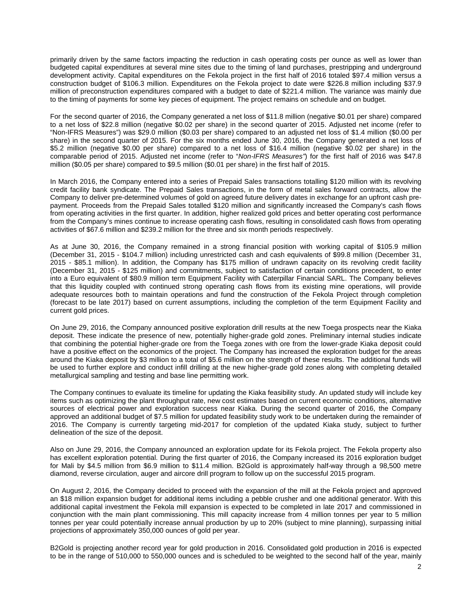primarily driven by the same factors impacting the reduction in cash operating costs per ounce as well as lower than budgeted capital expenditures at several mine sites due to the timing of land purchases, prestripping and underground development activity. Capital expenditures on the Fekola project in the first half of 2016 totaled \$97.4 million versus a construction budget of \$106.3 million. Expenditures on the Fekola project to date were \$226.8 million including \$37.9 million of preconstruction expenditures compared with a budget to date of \$221.4 million. The variance was mainly due to the timing of payments for some key pieces of equipment. The project remains on schedule and on budget.

For the second quarter of 2016, the Company generated a net loss of \$11.8 million (negative \$0.01 per share) compared to a net loss of \$22.8 million (negative \$0.02 per share) in the second quarter of 2015. Adjusted net income (refer to "Non-IFRS Measures") was \$29.0 million (\$0.03 per share) compared to an adjusted net loss of \$1.4 million (\$0.00 per share) in the second quarter of 2015. For the six months ended June 30, 2016, the Company generated a net loss of \$5.2 million (negative \$0.00 per share) compared to a net loss of \$16.4 million (negative \$0.02 per share) in the comparable period of 2015. Adjusted net income (refer to "*Non-IFRS Measures"*) for the first half of 2016 was \$47.8 million (\$0.05 per share) compared to \$9.5 million (\$0.01 per share) in the first half of 2015.

In March 2016, the Company entered into a series of Prepaid Sales transactions totalling \$120 million with its revolving credit facility bank syndicate. The Prepaid Sales transactions, in the form of metal sales forward contracts, allow the Company to deliver pre-determined volumes of gold on agreed future delivery dates in exchange for an upfront cash prepayment. Proceeds from the Prepaid Sales totalled \$120 million and significantly increased the Company's cash flows from operating activities in the first quarter. In addition, higher realized gold prices and better operating cost performance from the Company's mines continue to increase operating cash flows, resulting in consolidated cash flows from operating activities of \$67.6 million and \$239.2 million for the three and six month periods respectively.

As at June 30, 2016, the Company remained in a strong financial position with working capital of \$105.9 million (December 31, 2015 - \$104.7 million) including unrestricted cash and cash equivalents of \$99.8 million (December 31, 2015 - \$85.1 million). In addition, the Company has \$175 million of undrawn capacity on its revolving credit facility (December 31, 2015 - \$125 million) and commitments, subject to satisfaction of certain conditions precedent, to enter into a Euro equivalent of \$80.9 million term Equipment Facility with Caterpillar Financial SARL. The Company believes that this liquidity coupled with continued strong operating cash flows from its existing mine operations, will provide adequate resources both to maintain operations and fund the construction of the Fekola Project through completion (forecast to be late 2017) based on current assumptions, including the completion of the term Equipment Facility and current gold prices.

On June 29, 2016, the Company announced positive exploration drill results at the new Toega prospects near the Kiaka deposit. These indicate the presence of new, potentially higher-grade gold zones. Preliminary internal studies indicate that combining the potential higher-grade ore from the Toega zones with ore from the lower-grade Kiaka deposit could have a positive effect on the economics of the project. The Company has increased the exploration budget for the areas around the Kiaka deposit by \$3 million to a total of \$5.6 million on the strength of these results. The additional funds will be used to further explore and conduct infill drilling at the new higher-grade gold zones along with completing detailed metallurgical sampling and testing and base line permitting work.

The Company continues to evaluate its timeline for updating the Kiaka feasibility study. An updated study will include key items such as optimizing the plant throughput rate, new cost estimates based on current economic conditions, alternative sources of electrical power and exploration success near Kiaka. During the second quarter of 2016, the Company approved an additional budget of \$7.5 million for updated feasibility study work to be undertaken during the remainder of 2016. The Company is currently targeting mid-2017 for completion of the updated Kiaka study, subject to further delineation of the size of the deposit.

Also on June 29, 2016, the Company announced an exploration update for its Fekola project. The Fekola property also has excellent exploration potential. During the first quarter of 2016, the Company increased its 2016 exploration budget for Mali by \$4.5 million from \$6.9 million to \$11.4 million. B2Gold is approximately half-way through a 98,500 metre diamond, reverse circulation, auger and aircore drill program to follow up on the successful 2015 program.

On August 2, 2016, the Company decided to proceed with the expansion of the mill at the Fekola project and approved an \$18 million expansion budget for additional items including a pebble crusher and one additional generator. With this additional capital investment the Fekola mill expansion is expected to be completed in late 2017 and commissioned in conjunction with the main plant commissioning. This mill capacity increase from 4 million tonnes per year to 5 million tonnes per year could potentially increase annual production by up to 20% (subject to mine planning), surpassing initial projections of approximately 350,000 ounces of gold per year.

B2Gold is projecting another record year for gold production in 2016. Consolidated gold production in 2016 is expected to be in the range of 510,000 to 550,000 ounces and is scheduled to be weighted to the second half of the year, mainly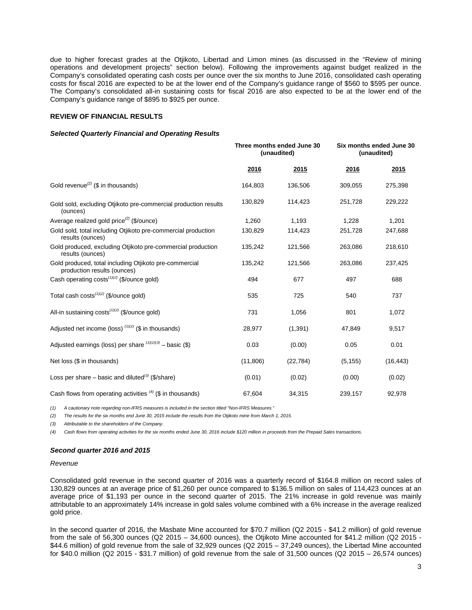due to higher forecast grades at the Otjikoto, Libertad and Limon mines (as discussed in the "Review of mining operations and development projects" section below). Following the improvements against budget realized in the Company's consolidated operating cash costs per ounce over the six months to June 2016, consolidated cash operating costs for fiscal 2016 are expected to be at the lower end of the Company's guidance range of \$560 to \$595 per ounce. The Company's consolidated all-in sustaining costs for fiscal 2016 are also expected to be at the lower end of the Company's guidance range of \$895 to \$925 per ounce.

# **REVIEW OF FINANCIAL RESULTS**

#### *Selected Quarterly Financial and Operating Results*

|                                                                                       | Three months ended June 30<br>(unaudited) |           |          | Six months ended June 30<br>(unaudited) |
|---------------------------------------------------------------------------------------|-------------------------------------------|-----------|----------|-----------------------------------------|
|                                                                                       | 2016                                      | 2015      | 2016     | 2015                                    |
| Gold revenue <sup>(2)</sup> (\$ in thousands)                                         | 164,803                                   | 136,506   | 309,055  | 275,398                                 |
| Gold sold, excluding Otijkoto pre-commercial production results<br>(ounces)           | 130,829                                   | 114,423   | 251,728  | 229,222                                 |
| Average realized gold price <sup>(2)</sup> (\$/ounce)                                 | 1,260                                     | 1,193     | 1,228    | 1,201                                   |
| Gold sold, total including Otjikoto pre-commercial production<br>results (ounces)     | 130,829                                   | 114,423   | 251,728  | 247,688                                 |
| Gold produced, excluding Otjikoto pre-commercial production<br>results (ounces)       | 135,242                                   | 121,566   | 263,086  | 218,610                                 |
| Gold produced, total including Otjikoto pre-commercial<br>production results (ounces) | 135,242                                   | 121,566   | 263,086  | 237,425                                 |
| Cash operating costs <sup>(1)(2)</sup> (\$/ounce gold)                                | 494                                       | 677       | 497      | 688                                     |
| Total cash costs $(1)(2)$ (\$/ounce gold)                                             | 535                                       | 725       | 540      | 737                                     |
| All-in sustaining costs <sup>(1)(2)</sup> (\$/ounce gold)                             | 731                                       | 1,056     | 801      | 1,072                                   |
| Adjusted net income (loss) $(1)(2)$ (\$ in thousands)                                 | 28,977                                    | (1, 391)  | 47,849   | 9,517                                   |
| Adjusted earnings (loss) per share $(1)(2)(3)$ – basic (\$)                           | 0.03                                      | (0.00)    | 0.05     | 0.01                                    |
| Net loss (\$ in thousands)                                                            | (11, 806)                                 | (22, 784) | (5, 155) | (16, 443)                               |
| Loss per share – basic and diluted <sup>(3)</sup> (\$/share)                          | (0.01)                                    | (0.02)    | (0.00)   | (0.02)                                  |
| Cash flows from operating activities $(4)$ (\$ in thousands)                          | 67,604                                    | 34,315    | 239,157  | 92,978                                  |

*(1) A cautionary note regarding non-IFRS measures is included in the section titled "Non-IFRS Measures."* 

*(2) The results for the six months end June 30, 2015 include the results from the Otjikoto mine from March 1, 2015.*

*(3) Attributable to the shareholders of the Company.*

*(4) Cash flows from operating activities for the six months ended June 30, 2016 include \$120 million in proceeds from the Prepaid Sales transactions.*

#### *Second quarter 2016 and 2015*

#### *Revenue*

Consolidated gold revenue in the second quarter of 2016 was a quarterly record of \$164.8 million on record sales of 130,829 ounces at an average price of \$1,260 per ounce compared to \$136.5 million on sales of 114,423 ounces at an average price of \$1,193 per ounce in the second quarter of 2015. The 21% increase in gold revenue was mainly attributable to an approximately 14% increase in gold sales volume combined with a 6% increase in the average realized gold price.

In the second quarter of 2016, the Masbate Mine accounted for \$70.7 million (Q2 2015 - \$41.2 million) of gold revenue from the sale of 56,300 ounces (Q2 2015 – 34,600 ounces), the Otjikoto Mine accounted for \$41.2 million (Q2 2015 - \$44.6 million) of gold revenue from the sale of 32,929 ounces (Q2 2015 – 37,249 ounces), the Libertad Mine accounted for \$40.0 million (Q2 2015 - \$31.7 million) of gold revenue from the sale of 31,500 ounces (Q2 2015 – 26,574 ounces)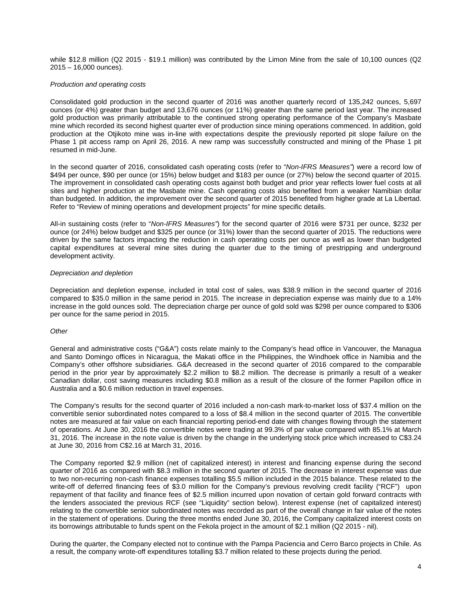while \$12.8 million (Q2 2015 - \$19.1 million) was contributed by the Limon Mine from the sale of 10,100 ounces (Q2 2015 – 16,000 ounces).

### *Production and operating costs*

Consolidated gold production in the second quarter of 2016 was another quarterly record of 135,242 ounces, 5,697 ounces (or 4%) greater than budget and 13,676 ounces (or 11%) greater than the same period last year. The increased gold production was primarily attributable to the continued strong operating performance of the Company's Masbate mine which recorded its second highest quarter ever of production since mining operations commenced. In addition, gold production at the Otjikoto mine was in-line with expectations despite the previously reported pit slope failure on the Phase 1 pit access ramp on April 26, 2016. A new ramp was successfully constructed and mining of the Phase 1 pit resumed in mid-June.

In the second quarter of 2016, consolidated cash operating costs (refer to "*Non-IFRS Measures"*) were a record low of \$494 per ounce, \$90 per ounce (or 15%) below budget and \$183 per ounce (or 27%) below the second quarter of 2015. The improvement in consolidated cash operating costs against both budget and prior year reflects lower fuel costs at all sites and higher production at the Masbate mine. Cash operating costs also benefited from a weaker Namibian dollar than budgeted. In addition, the improvement over the second quarter of 2015 benefited from higher grade at La Libertad. Refer to "Review of mining operations and development projects" for mine specific details.

All-in sustaining costs (refer to "*Non-IFRS Measures"*) for the second quarter of 2016 were \$731 per ounce, \$232 per ounce (or 24%) below budget and \$325 per ounce (or 31%) lower than the second quarter of 2015. The reductions were driven by the same factors impacting the reduction in cash operating costs per ounce as well as lower than budgeted capital expenditures at several mine sites during the quarter due to the timing of prestripping and underground development activity.

#### *Depreciation and depletion*

Depreciation and depletion expense, included in total cost of sales, was \$38.9 million in the second quarter of 2016 compared to \$35.0 million in the same period in 2015. The increase in depreciation expense was mainly due to a 14% increase in the gold ounces sold. The depreciation charge per ounce of gold sold was \$298 per ounce compared to \$306 per ounce for the same period in 2015.

#### *Other*

General and administrative costs ("G&A") costs relate mainly to the Company's head office in Vancouver, the Managua and Santo Domingo offices in Nicaragua, the Makati office in the Philippines, the Windhoek office in Namibia and the Company's other offshore subsidiaries. G&A decreased in the second quarter of 2016 compared to the comparable period in the prior year by approximately \$2.2 million to \$8.2 million. The decrease is primarily a result of a weaker Canadian dollar, cost saving measures including \$0.8 million as a result of the closure of the former Papillon office in Australia and a \$0.6 million reduction in travel expenses.

The Company's results for the second quarter of 2016 included a non-cash mark-to-market loss of \$37.4 million on the convertible senior subordinated notes compared to a loss of \$8.4 million in the second quarter of 2015. The convertible notes are measured at fair value on each financial reporting period-end date with changes flowing through the statement of operations. At June 30, 2016 the convertible notes were trading at 99.3% of par value compared with 85.1% at March 31, 2016. The increase in the note value is driven by the change in the underlying stock price which increased to C\$3.24 at June 30, 2016 from C\$2.16 at March 31, 2016.

The Company reported \$2.9 million (net of capitalized interest) in interest and financing expense during the second quarter of 2016 as compared with \$8.3 million in the second quarter of 2015. The decrease in interest expense was due to two non-recurring non-cash finance expenses totalling \$5.5 million included in the 2015 balance. These related to the write-off of deferred financing fees of \$3.0 million for the Company's previous revolving credit facility ("RCF") upon repayment of that facility and finance fees of \$2.5 million incurred upon novation of certain gold forward contracts with the lenders associated the previous RCF (see "Liquidity" section below). Interest expense (net of capitalized interest) relating to the convertible senior subordinated notes was recorded as part of the overall change in fair value of the notes in the statement of operations. During the three months ended June 30, 2016, the Company capitalized interest costs on its borrowings attributable to funds spent on the Fekola project in the amount of \$2.1 million (Q2 2015 - nil).

During the quarter, the Company elected not to continue with the Pampa Paciencia and Cerro Barco projects in Chile. As a result, the company wrote-off expenditures totalling \$3.7 million related to these projects during the period.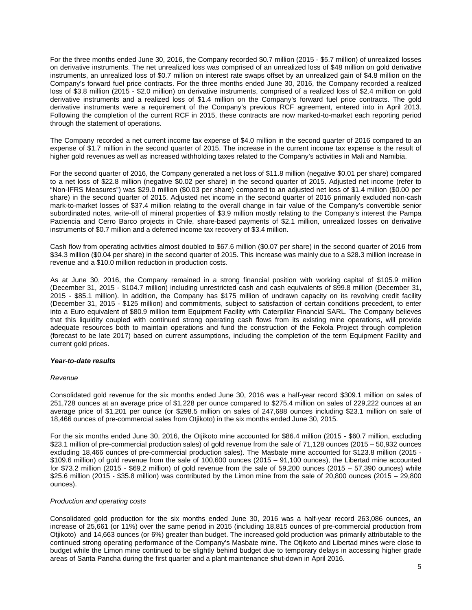For the three months ended June 30, 2016, the Company recorded \$0.7 million (2015 - \$5.7 million) of unrealized losses on derivative instruments. The net unrealized loss was comprised of an unrealized loss of \$48 million on gold derivative instruments, an unrealized loss of \$0.7 million on interest rate swaps offset by an unrealized gain of \$4.8 million on the Company's forward fuel price contracts. For the three months ended June 30, 2016, the Company recorded a realized loss of \$3.8 million (2015 - \$2.0 million) on derivative instruments, comprised of a realized loss of \$2.4 million on gold derivative instruments and a realized loss of \$1.4 million on the Company's forward fuel price contracts. The gold derivative instruments were a requirement of the Company's previous RCF agreement, entered into in April 2013. Following the completion of the current RCF in 2015, these contracts are now marked-to-market each reporting period through the statement of operations.

The Company recorded a net current income tax expense of \$4.0 million in the second quarter of 2016 compared to an expense of \$1.7 million in the second quarter of 2015. The increase in the current income tax expense is the result of higher gold revenues as well as increased withholding taxes related to the Company's activities in Mali and Namibia.

For the second quarter of 2016, the Company generated a net loss of \$11.8 million (negative \$0.01 per share) compared to a net loss of \$22.8 million (negative \$0.02 per share) in the second quarter of 2015. Adjusted net income (refer to "Non-IFRS Measures") was \$29.0 million (\$0.03 per share) compared to an adjusted net loss of \$1.4 million (\$0.00 per share) in the second quarter of 2015. Adjusted net income in the second quarter of 2016 primarily excluded non-cash mark-to-market losses of \$37.4 million relating to the overall change in fair value of the Company's convertible senior subordinated notes, write-off of mineral properties of \$3.9 million mostly relating to the Company's interest the Pampa Paciencia and Cerro Barco projects in Chile, share-based payments of \$2.1 million, unrealized losses on derivative instruments of \$0.7 million and a deferred income tax recovery of \$3.4 million.

Cash flow from operating activities almost doubled to \$67.6 million (\$0.07 per share) in the second quarter of 2016 from \$34.3 million (\$0.04 per share) in the second quarter of 2015. This increase was mainly due to a \$28.3 million increase in revenue and a \$10.0 million reduction in production costs.

As at June 30, 2016, the Company remained in a strong financial position with working capital of \$105.9 million (December 31, 2015 - \$104.7 million) including unrestricted cash and cash equivalents of \$99.8 million (December 31, 2015 - \$85.1 million). In addition, the Company has \$175 million of undrawn capacity on its revolving credit facility (December 31, 2015 - \$125 million) and commitments, subject to satisfaction of certain conditions precedent, to enter into a Euro equivalent of \$80.9 million term Equipment Facility with Caterpillar Financial SARL. The Company believes that this liquidity coupled with continued strong operating cash flows from its existing mine operations, will provide adequate resources both to maintain operations and fund the construction of the Fekola Project through completion (forecast to be late 2017) based on current assumptions, including the completion of the term Equipment Facility and current gold prices.

# *Year-to-date results*

#### *Revenue*

Consolidated gold revenue for the six months ended June 30, 2016 was a half-year record \$309.1 million on sales of 251,728 ounces at an average price of \$1,228 per ounce compared to \$275.4 million on sales of 229,222 ounces at an average price of \$1,201 per ounce (or \$298.5 million on sales of 247,688 ounces including \$23.1 million on sale of 18,466 ounces of pre-commercial sales from Otjikoto) in the six months ended June 30, 2015.

For the six months ended June 30, 2016, the Otjikoto mine accounted for \$86.4 million (2015 - \$60.7 million, excluding \$23.1 million of pre-commercial production sales) of gold revenue from the sale of 71,128 ounces (2015 – 50,932 ounces excluding 18,466 ounces of pre-commercial production sales). The Masbate mine accounted for \$123.8 million (2015 - \$109.6 million) of gold revenue from the sale of 100,600 ounces (2015 – 91,100 ounces), the Libertad mine accounted for \$73.2 million (2015 - \$69.2 million) of gold revenue from the sale of 59,200 ounces (2015 – 57,390 ounces) while \$25.6 million (2015 - \$35.8 million) was contributed by the Limon mine from the sale of 20,800 ounces (2015 – 29,800 ounces).

# *Production and operating costs*

Consolidated gold production for the six months ended June 30, 2016 was a half-year record 263,086 ounces, an increase of 25,661 (or 11%) over the same period in 2015 (including 18,815 ounces of pre-commercial production from Otjikoto) and 14,663 ounces (or 6%) greater than budget. The increased gold production was primarily attributable to the continued strong operating performance of the Company's Masbate mine. The Otjikoto and Libertad mines were close to budget while the Limon mine continued to be slightly behind budget due to temporary delays in accessing higher grade areas of Santa Pancha during the first quarter and a plant maintenance shut-down in April 2016.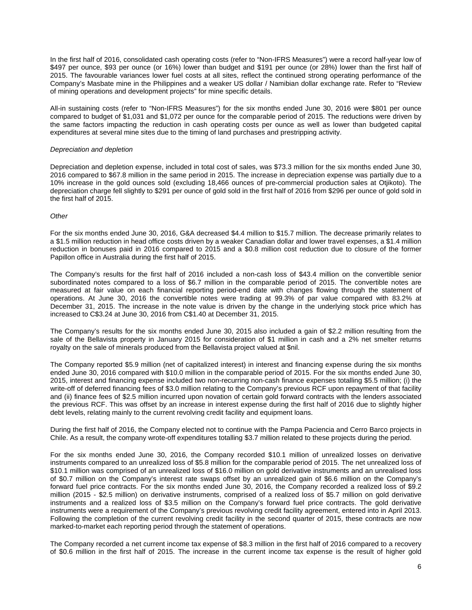In the first half of 2016, consolidated cash operating costs (refer to "Non-IFRS Measures") were a record half-year low of \$497 per ounce, \$93 per ounce (or 16%) lower than budget and \$191 per ounce (or 28%) lower than the first half of 2015. The favourable variances lower fuel costs at all sites, reflect the continued strong operating performance of the Company's Masbate mine in the Philippines and a weaker US dollar / Namibian dollar exchange rate. Refer to "Review of mining operations and development projects" for mine specific details.

All-in sustaining costs (refer to "Non-IFRS Measures") for the six months ended June 30, 2016 were \$801 per ounce compared to budget of \$1,031 and \$1,072 per ounce for the comparable period of 2015. The reductions were driven by the same factors impacting the reduction in cash operating costs per ounce as well as lower than budgeted capital expenditures at several mine sites due to the timing of land purchases and prestripping activity.

#### *Depreciation and depletion*

Depreciation and depletion expense, included in total cost of sales, was \$73.3 million for the six months ended June 30, 2016 compared to \$67.8 million in the same period in 2015. The increase in depreciation expense was partially due to a 10% increase in the gold ounces sold (excluding 18,466 ounces of pre-commercial production sales at Otjikoto). The depreciation charge fell slightly to \$291 per ounce of gold sold in the first half of 2016 from \$296 per ounce of gold sold in the first half of 2015.

### *Other*

For the six months ended June 30, 2016, G&A decreased \$4.4 million to \$15.7 million. The decrease primarily relates to a \$1.5 million reduction in head office costs driven by a weaker Canadian dollar and lower travel expenses, a \$1.4 million reduction in bonuses paid in 2016 compared to 2015 and a \$0.8 million cost reduction due to closure of the former Papillon office in Australia during the first half of 2015.

The Company's results for the first half of 2016 included a non-cash loss of \$43.4 million on the convertible senior subordinated notes compared to a loss of \$6.7 million in the comparable period of 2015. The convertible notes are measured at fair value on each financial reporting period-end date with changes flowing through the statement of operations. At June 30, 2016 the convertible notes were trading at 99.3% of par value compared with 83.2% at December 31, 2015. The increase in the note value is driven by the change in the underlying stock price which has increased to C\$3.24 at June 30, 2016 from C\$1.40 at December 31, 2015.

The Company's results for the six months ended June 30, 2015 also included a gain of \$2.2 million resulting from the sale of the Bellavista property in January 2015 for consideration of \$1 million in cash and a 2% net smelter returns royalty on the sale of minerals produced from the Bellavista project valued at \$nil.

The Company reported \$5.9 million (net of capitalized interest) in interest and financing expense during the six months ended June 30, 2016 compared with \$10.0 million in the comparable period of 2015. For the six months ended June 30, 2015, interest and financing expense included two non-recurring non-cash finance expenses totalling \$5.5 million; (i) the write-off of deferred financing fees of \$3.0 million relating to the Company's previous RCF upon repayment of that facility and (ii) finance fees of \$2.5 million incurred upon novation of certain gold forward contracts with the lenders associated the previous RCF. This was offset by an increase in interest expense during the first half of 2016 due to slightly higher debt levels, relating mainly to the current revolving credit facility and equipment loans.

During the first half of 2016, the Company elected not to continue with the Pampa Paciencia and Cerro Barco projects in Chile. As a result, the company wrote-off expenditures totalling \$3.7 million related to these projects during the period.

For the six months ended June 30, 2016, the Company recorded \$10.1 million of unrealized losses on derivative instruments compared to an unrealized loss of \$5.8 million for the comparable period of 2015. The net unrealized loss of \$10.1 million was comprised of an unrealized loss of \$16.0 million on gold derivative instruments and an unrealised loss of \$0.7 million on the Company's interest rate swaps offset by an unrealized gain of \$6.6 million on the Company's forward fuel price contracts. For the six months ended June 30, 2016, the Company recorded a realized loss of \$9.2 million (2015 - \$2.5 million) on derivative instruments, comprised of a realized loss of \$5.7 million on gold derivative instruments and a realized loss of \$3.5 million on the Company's forward fuel price contracts. The gold derivative instruments were a requirement of the Company's previous revolving credit facility agreement, entered into in April 2013. Following the completion of the current revolving credit facility in the second quarter of 2015, these contracts are now marked-to-market each reporting period through the statement of operations.

The Company recorded a net current income tax expense of \$8.3 million in the first half of 2016 compared to a recovery of \$0.6 million in the first half of 2015. The increase in the current income tax expense is the result of higher gold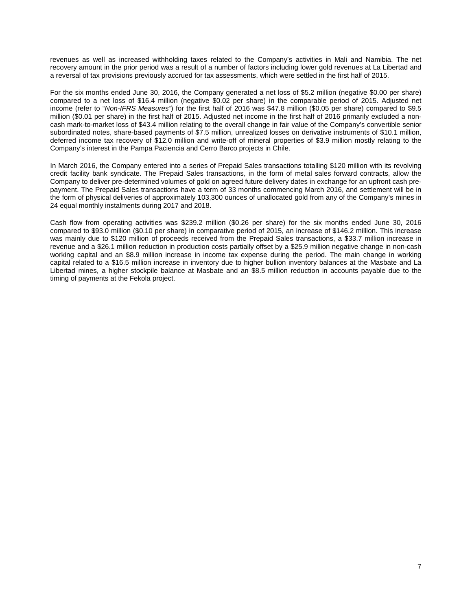revenues as well as increased withholding taxes related to the Company's activities in Mali and Namibia. The net recovery amount in the prior period was a result of a number of factors including lower gold revenues at La Libertad and a reversal of tax provisions previously accrued for tax assessments, which were settled in the first half of 2015.

For the six months ended June 30, 2016, the Company generated a net loss of \$5.2 million (negative \$0.00 per share) compared to a net loss of \$16.4 million (negative \$0.02 per share) in the comparable period of 2015. Adjusted net income (refer to "*Non-IFRS Measures"*) for the first half of 2016 was \$47.8 million (\$0.05 per share) compared to \$9.5 million (\$0.01 per share) in the first half of 2015. Adjusted net income in the first half of 2016 primarily excluded a noncash mark-to-market loss of \$43.4 million relating to the overall change in fair value of the Company's convertible senior subordinated notes, share-based payments of \$7.5 million, unrealized losses on derivative instruments of \$10.1 million, deferred income tax recovery of \$12.0 million and write-off of mineral properties of \$3.9 million mostly relating to the Company's interest in the Pampa Paciencia and Cerro Barco projects in Chile.

In March 2016, the Company entered into a series of Prepaid Sales transactions totalling \$120 million with its revolving credit facility bank syndicate. The Prepaid Sales transactions, in the form of metal sales forward contracts, allow the Company to deliver pre-determined volumes of gold on agreed future delivery dates in exchange for an upfront cash prepayment. The Prepaid Sales transactions have a term of 33 months commencing March 2016, and settlement will be in the form of physical deliveries of approximately 103,300 ounces of unallocated gold from any of the Company's mines in 24 equal monthly instalments during 2017 and 2018.

Cash flow from operating activities was \$239.2 million (\$0.26 per share) for the six months ended June 30, 2016 compared to \$93.0 million (\$0.10 per share) in comparative period of 2015, an increase of \$146.2 million. This increase was mainly due to \$120 million of proceeds received from the Prepaid Sales transactions, a \$33.7 million increase in revenue and a \$26.1 million reduction in production costs partially offset by a \$25.9 million negative change in non-cash working capital and an \$8.9 million increase in income tax expense during the period. The main change in working capital related to a \$16.5 million increase in inventory due to higher bullion inventory balances at the Masbate and La Libertad mines, a higher stockpile balance at Masbate and an \$8.5 million reduction in accounts payable due to the timing of payments at the Fekola project.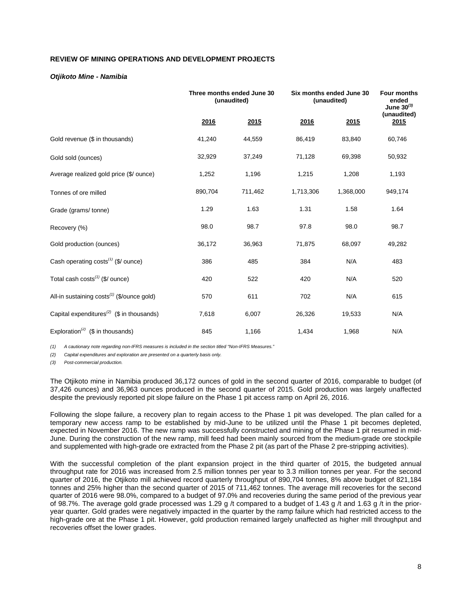# **REVIEW OF MINING OPERATIONS AND DEVELOPMENT PROJECTS**

### *Otjikoto Mine - Namibia*

|                                                        | Three months ended June 30<br>(unaudited) |         | Six months ended June 30<br>(unaudited) |           |                     |  | <b>Four months</b><br>ended<br>June $30^{(3)}$ |
|--------------------------------------------------------|-------------------------------------------|---------|-----------------------------------------|-----------|---------------------|--|------------------------------------------------|
|                                                        | 2016                                      | 2015    | 2016                                    | 2015      | (unaudited)<br>2015 |  |                                                |
| Gold revenue (\$ in thousands)                         | 41,240                                    | 44,559  | 86,419                                  | 83,840    | 60,746              |  |                                                |
| Gold sold (ounces)                                     | 32,929                                    | 37,249  | 71,128                                  | 69,398    | 50,932              |  |                                                |
| Average realized gold price (\$/ ounce)                | 1,252                                     | 1,196   | 1,215                                   | 1,208     | 1,193               |  |                                                |
| Tonnes of ore milled                                   | 890,704                                   | 711,462 | 1,713,306                               | 1,368,000 | 949,174             |  |                                                |
| Grade (grams/tonne)                                    | 1.29                                      | 1.63    | 1.31                                    | 1.58      | 1.64                |  |                                                |
| Recovery (%)                                           | 98.0                                      | 98.7    | 97.8                                    | 98.0      | 98.7                |  |                                                |
| Gold production (ounces)                               | 36,172                                    | 36,963  | 71,875                                  | 68,097    | 49,282              |  |                                                |
| Cash operating costs <sup>(1)</sup> (\$/ ounce)        | 386                                       | 485     | 384                                     | N/A       | 483                 |  |                                                |
| Total cash costs <sup>(1)</sup> (\$/ ounce)            | 420                                       | 522     | 420                                     | N/A       | 520                 |  |                                                |
| All-in sustaining costs <sup>(1)</sup> (\$/ounce gold) | 570                                       | 611     | 702                                     | N/A       | 615                 |  |                                                |
| Capital expenditures <sup>(2)</sup> (\$ in thousands)  | 7,618                                     | 6,007   | 26,326                                  | 19,533    | N/A                 |  |                                                |
| Exploration <sup>(2)</sup> (\$ in thousands)           | 845                                       | 1,166   | 1,434                                   | 1,968     | N/A                 |  |                                                |

*(1) A cautionary note regarding non-IFRS measures is included in the section titled "Non-IFRS Measures."*

*(2) Capital expenditures and exploration are presented on a quarterly basis only.*

*(3) Post-commercial production.*

The Otjikoto mine in Namibia produced 36,172 ounces of gold in the second quarter of 2016, comparable to budget (of 37,426 ounces) and 36,963 ounces produced in the second quarter of 2015. Gold production was largely unaffected despite the previously reported pit slope failure on the Phase 1 pit access ramp on April 26, 2016.

Following the slope failure, a recovery plan to regain access to the Phase 1 pit was developed. The plan called for a temporary new access ramp to be established by mid-June to be utilized until the Phase 1 pit becomes depleted, expected in November 2016. The new ramp was successfully constructed and mining of the Phase 1 pit resumed in mid-June. During the construction of the new ramp, mill feed had been mainly sourced from the medium-grade ore stockpile and supplemented with high-grade ore extracted from the Phase 2 pit (as part of the Phase 2 pre-stripping activities).

With the successful completion of the plant expansion project in the third quarter of 2015, the budgeted annual throughput rate for 2016 was increased from 2.5 million tonnes per year to 3.3 million tonnes per year. For the second quarter of 2016, the Otjikoto mill achieved record quarterly throughput of 890,704 tonnes, 8% above budget of 821,184 tonnes and 25% higher than the second quarter of 2015 of 711,462 tonnes. The average mill recoveries for the second quarter of 2016 were 98.0%, compared to a budget of 97.0% and recoveries during the same period of the previous year of 98.7%. The average gold grade processed was 1.29 g /t compared to a budget of 1.43 g /t and 1.63 g /t in the prioryear quarter. Gold grades were negatively impacted in the quarter by the ramp failure which had restricted access to the high-grade ore at the Phase 1 pit. However, gold production remained largely unaffected as higher mill throughput and recoveries offset the lower grades.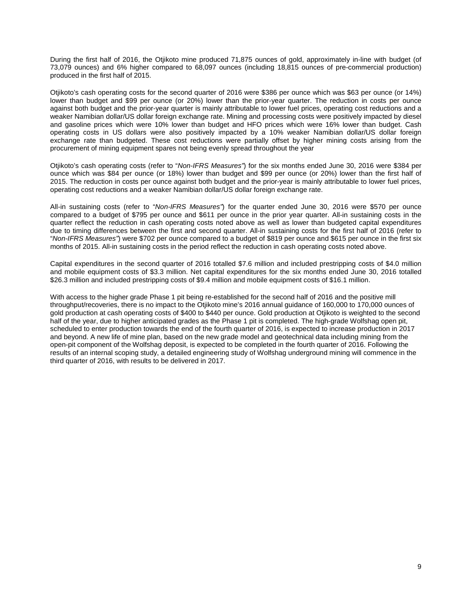During the first half of 2016, the Otjikoto mine produced 71,875 ounces of gold, approximately in-line with budget (of 73,079 ounces) and 6% higher compared to 68,097 ounces (including 18,815 ounces of pre-commercial production) produced in the first half of 2015.

Otjikoto's cash operating costs for the second quarter of 2016 were \$386 per ounce which was \$63 per ounce (or 14%) lower than budget and \$99 per ounce (or 20%) lower than the prior-year quarter. The reduction in costs per ounce against both budget and the prior-year quarter is mainly attributable to lower fuel prices, operating cost reductions and a weaker Namibian dollar/US dollar foreign exchange rate. Mining and processing costs were positively impacted by diesel and gasoline prices which were 10% lower than budget and HFO prices which were 16% lower than budget. Cash operating costs in US dollars were also positively impacted by a 10% weaker Namibian dollar/US dollar foreign exchange rate than budgeted. These cost reductions were partially offset by higher mining costs arising from the procurement of mining equipment spares not being evenly spread throughout the year

Otjikoto's cash operating costs (refer to "*Non-IFRS Measures"*) for the six months ended June 30, 2016 were \$384 per ounce which was \$84 per ounce (or 18%) lower than budget and \$99 per ounce (or 20%) lower than the first half of 2015. The reduction in costs per ounce against both budget and the prior-year is mainly attributable to lower fuel prices, operating cost reductions and a weaker Namibian dollar/US dollar foreign exchange rate.

All-in sustaining costs (refer to "*Non-IFRS Measures"*) for the quarter ended June 30, 2016 were \$570 per ounce compared to a budget of \$795 per ounce and \$611 per ounce in the prior year quarter. All-in sustaining costs in the quarter reflect the reduction in cash operating costs noted above as well as lower than budgeted capital expenditures due to timing differences between the first and second quarter. All-in sustaining costs for the first half of 2016 (refer to "*Non-IFRS Measures"*) were \$702 per ounce compared to a budget of \$819 per ounce and \$615 per ounce in the first six months of 2015. All-in sustaining costs in the period reflect the reduction in cash operating costs noted above.

Capital expenditures in the second quarter of 2016 totalled \$7.6 million and included prestripping costs of \$4.0 million and mobile equipment costs of \$3.3 million. Net capital expenditures for the six months ended June 30, 2016 totalled \$26.3 million and included prestripping costs of \$9.4 million and mobile equipment costs of \$16.1 million.

With access to the higher grade Phase 1 pit being re-established for the second half of 2016 and the positive mill throughput/recoveries, there is no impact to the Otjikoto mine's 2016 annual guidance of 160,000 to 170,000 ounces of gold production at cash operating costs of \$400 to \$440 per ounce. Gold production at Otjikoto is weighted to the second half of the year, due to higher anticipated grades as the Phase 1 pit is completed. The high-grade Wolfshag open pit, scheduled to enter production towards the end of the fourth quarter of 2016, is expected to increase production in 2017 and beyond. A new life of mine plan, based on the new grade model and geotechnical data including mining from the open-pit component of the Wolfshag deposit, is expected to be completed in the fourth quarter of 2016. Following the results of an internal scoping study, a detailed engineering study of Wolfshag underground mining will commence in the third quarter of 2016, with results to be delivered in 2017.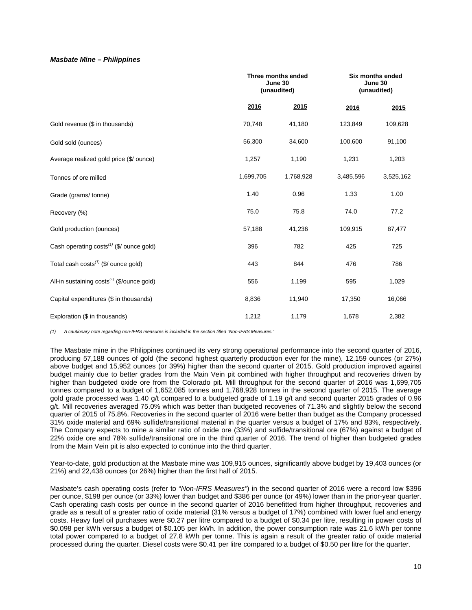### *Masbate Mine – Philippines*

|                                                        |           | Three months ended<br>June 30<br>(unaudited) |           | Six months ended<br>June 30<br>(unaudited) |
|--------------------------------------------------------|-----------|----------------------------------------------|-----------|--------------------------------------------|
|                                                        | 2016      | 2015                                         | 2016      | 2015                                       |
| Gold revenue (\$ in thousands)                         | 70,748    | 41,180                                       | 123,849   | 109,628                                    |
| Gold sold (ounces)                                     | 56,300    | 34,600                                       | 100,600   | 91,100                                     |
| Average realized gold price (\$/ ounce)                | 1,257     | 1,190                                        | 1,231     | 1,203                                      |
| Tonnes of ore milled                                   | 1,699,705 | 1,768,928                                    | 3,485,596 | 3,525,162                                  |
| Grade (grams/tonne)                                    | 1.40      | 0.96                                         | 1.33      | 1.00                                       |
| Recovery (%)                                           | 75.0      | 75.8                                         | 74.0      | 77.2                                       |
| Gold production (ounces)                               | 57,188    | 41,236                                       | 109,915   | 87,477                                     |
| Cash operating $costs^{(1)}$ (\$/ ounce gold)          | 396       | 782                                          | 425       | 725                                        |
| Total cash $costs^{(1)}$ (\$/ ounce gold)              | 443       | 844                                          | 476       | 786                                        |
| All-in sustaining costs <sup>(1)</sup> (\$/ounce gold) | 556       | 1,199                                        | 595       | 1,029                                      |
| Capital expenditures (\$ in thousands)                 | 8,836     | 11,940                                       | 17,350    | 16,066                                     |
| Exploration (\$ in thousands)                          | 1,212     | 1,179                                        | 1,678     | 2,382                                      |

*(1) A cautionary note regarding non-IFRS measures is included in the section titled "Non-IFRS Measures."* 

The Masbate mine in the Philippines continued its very strong operational performance into the second quarter of 2016, producing 57,188 ounces of gold (the second highest quarterly production ever for the mine), 12,159 ounces (or 27%) above budget and 15,952 ounces (or 39%) higher than the second quarter of 2015. Gold production improved against budget mainly due to better grades from the Main Vein pit combined with higher throughput and recoveries driven by higher than budgeted oxide ore from the Colorado pit. Mill throughput for the second quarter of 2016 was 1,699,705 tonnes compared to a budget of 1,652,085 tonnes and 1,768,928 tonnes in the second quarter of 2015. The average gold grade processed was 1.40 g/t compared to a budgeted grade of 1.19 g/t and second quarter 2015 grades of 0.96 g/t. Mill recoveries averaged 75.0% which was better than budgeted recoveries of 71.3% and slightly below the second quarter of 2015 of 75.8%. Recoveries in the second quarter of 2016 were better than budget as the Company processed 31% oxide material and 69% sulfide/transitional material in the quarter versus a budget of 17% and 83%, respectively. The Company expects to mine a similar ratio of oxide ore (33%) and sulfide/transitional ore (67%) against a budget of 22% oxide ore and 78% sulfide/transitional ore in the third quarter of 2016. The trend of higher than budgeted grades from the Main Vein pit is also expected to continue into the third quarter.

Year-to-date, gold production at the Masbate mine was 109,915 ounces, significantly above budget by 19,403 ounces (or 21%) and 22,438 ounces (or 26%) higher than the first half of 2015.

Masbate's cash operating costs (refer to "*Non-IFRS Measures"*) in the second quarter of 2016 were a record low \$396 per ounce, \$198 per ounce (or 33%) lower than budget and \$386 per ounce (or 49%) lower than in the prior-year quarter. Cash operating cash costs per ounce in the second quarter of 2016 benefitted from higher throughput, recoveries and grade as a result of a greater ratio of oxide material (31% versus a budget of 17%) combined with lower fuel and energy costs. Heavy fuel oil purchases were \$0.27 per litre compared to a budget of \$0.34 per litre, resulting in power costs of \$0.098 per kWh versus a budget of \$0.105 per kWh. In addition, the power consumption rate was 21.6 kWh per tonne total power compared to a budget of 27.8 kWh per tonne. This is again a result of the greater ratio of oxide material processed during the quarter. Diesel costs were \$0.41 per litre compared to a budget of \$0.50 per litre for the quarter.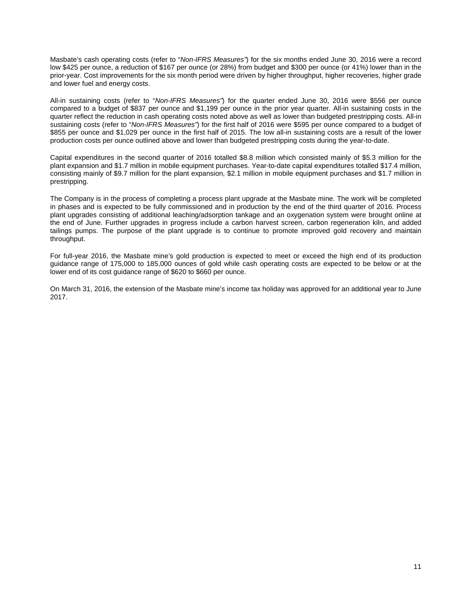Masbate's cash operating costs (refer to "*Non-IFRS Measures"*) for the six months ended June 30, 2016 were a record low \$425 per ounce, a reduction of \$167 per ounce (or 28%) from budget and \$300 per ounce (or 41%) lower than in the prior-year. Cost improvements for the six month period were driven by higher throughput, higher recoveries, higher grade and lower fuel and energy costs.

All-in sustaining costs (refer to "*Non-IFRS Measures"*) for the quarter ended June 30, 2016 were \$556 per ounce compared to a budget of \$837 per ounce and \$1,199 per ounce in the prior year quarter. All-in sustaining costs in the quarter reflect the reduction in cash operating costs noted above as well as lower than budgeted prestripping costs. All-in sustaining costs (refer to "*Non-IFRS Measures"*) for the first half of 2016 were \$595 per ounce compared to a budget of \$855 per ounce and \$1,029 per ounce in the first half of 2015. The low all-in sustaining costs are a result of the lower production costs per ounce outlined above and lower than budgeted prestripping costs during the year-to-date.

Capital expenditures in the second quarter of 2016 totalled \$8.8 million which consisted mainly of \$5.3 million for the plant expansion and \$1.7 million in mobile equipment purchases. Year-to-date capital expenditures totalled \$17.4 million, consisting mainly of \$9.7 million for the plant expansion, \$2.1 million in mobile equipment purchases and \$1.7 million in prestripping.

The Company is in the process of completing a process plant upgrade at the Masbate mine. The work will be completed in phases and is expected to be fully commissioned and in production by the end of the third quarter of 2016. Process plant upgrades consisting of additional leaching/adsorption tankage and an oxygenation system were brought online at the end of June. Further upgrades in progress include a carbon harvest screen, carbon regeneration kiln, and added tailings pumps. The purpose of the plant upgrade is to continue to promote improved gold recovery and maintain throughput.

For full-year 2016, the Masbate mine's gold production is expected to meet or exceed the high end of its production guidance range of 175,000 to 185,000 ounces of gold while cash operating costs are expected to be below or at the lower end of its cost guidance range of \$620 to \$660 per ounce.

On March 31, 2016, the extension of the Masbate mine's income tax holiday was approved for an additional year to June 2017.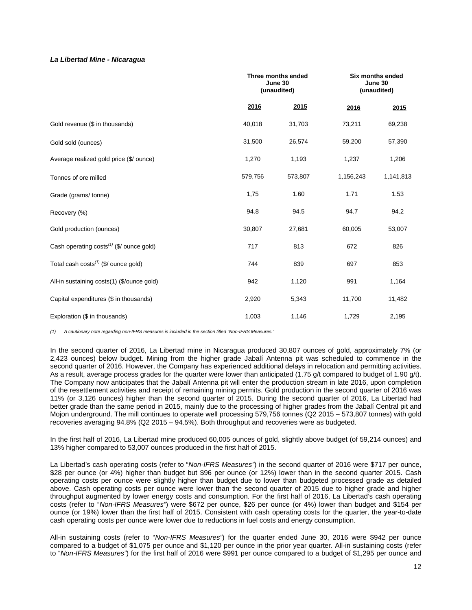### *La Libertad Mine - Nicaragua*

|                                                  |         | Three months ended<br>June 30<br>(unaudited) |           | Six months ended<br>June 30<br>(unaudited) |
|--------------------------------------------------|---------|----------------------------------------------|-----------|--------------------------------------------|
|                                                  | 2016    | 2015                                         | 2016      | 2015                                       |
| Gold revenue (\$ in thousands)                   | 40,018  | 31,703                                       | 73,211    | 69,238                                     |
| Gold sold (ounces)                               | 31,500  | 26,574                                       | 59,200    | 57,390                                     |
| Average realized gold price (\$/ ounce)          | 1,270   | 1,193                                        | 1,237     | 1,206                                      |
| Tonnes of ore milled                             | 579,756 | 573,807                                      | 1,156,243 | 1,141,813                                  |
| Grade (grams/tonne)                              | 1,75    | 1.60                                         | 1.71      | 1.53                                       |
| Recovery (%)                                     | 94.8    | 94.5                                         | 94.7      | 94.2                                       |
| Gold production (ounces)                         | 30,807  | 27,681                                       | 60,005    | 53,007                                     |
| Cash operating $costs^{(1)}$ (\$/ ounce gold)    | 717     | 813                                          | 672       | 826                                        |
| Total cash costs <sup>(1)</sup> (\$/ ounce gold) | 744     | 839                                          | 697       | 853                                        |
| All-in sustaining costs(1) (\$/ounce gold)       | 942     | 1,120                                        | 991       | 1,164                                      |
| Capital expenditures (\$ in thousands)           | 2,920   | 5,343                                        | 11,700    | 11,482                                     |
| Exploration (\$ in thousands)                    | 1,003   | 1,146                                        | 1,729     | 2,195                                      |

*(1) A cautionary note regarding non-IFRS measures is included in the section titled "Non-IFRS Measures."* 

In the second quarter of 2016, La Libertad mine in Nicaragua produced 30,807 ounces of gold, approximately 7% (or 2,423 ounces) below budget. Mining from the higher grade Jabalí Antenna pit was scheduled to commence in the second quarter of 2016. However, the Company has experienced additional delays in relocation and permitting activities. As a result, average process grades for the quarter were lower than anticipated (1.75 g/t compared to budget of 1.90 g/t). The Company now anticipates that the Jabalí Antenna pit will enter the production stream in late 2016, upon completion of the resettlement activities and receipt of remaining mining permits. Gold production in the second quarter of 2016 was 11% (or 3,126 ounces) higher than the second quarter of 2015. During the second quarter of 2016, La Libertad had better grade than the same period in 2015, mainly due to the processing of higher grades from the Jabalí Central pit and Mojon underground. The mill continues to operate well processing 579,756 tonnes (Q2 2015 – 573,807 tonnes) with gold recoveries averaging 94.8% (Q2 2015 – 94.5%). Both throughput and recoveries were as budgeted.

In the first half of 2016, La Libertad mine produced 60,005 ounces of gold, slightly above budget (of 59,214 ounces) and 13% higher compared to 53,007 ounces produced in the first half of 2015.

La Libertad's cash operating costs (refer to "*Non-IFRS Measures"*) in the second quarter of 2016 were \$717 per ounce, \$28 per ounce (or 4%) higher than budget but \$96 per ounce (or 12%) lower than in the second quarter 2015. Cash operating costs per ounce were slightly higher than budget due to lower than budgeted processed grade as detailed above. Cash operating costs per ounce were lower than the second quarter of 2015 due to higher grade and higher throughput augmented by lower energy costs and consumption. For the first half of 2016, La Libertad's cash operating costs (refer to "*Non-IFRS Measures"*) were \$672 per ounce, \$26 per ounce (or 4%) lower than budget and \$154 per ounce (or 19%) lower than the first half of 2015. Consistent with cash operating costs for the quarter, the year-to-date cash operating costs per ounce were lower due to reductions in fuel costs and energy consumption.

All-in sustaining costs (refer to "*Non-IFRS Measures"*) for the quarter ended June 30, 2016 were \$942 per ounce compared to a budget of \$1,075 per ounce and \$1,120 per ounce in the prior year quarter. All-in sustaining costs (refer to "*Non-IFRS Measures"*) for the first half of 2016 were \$991 per ounce compared to a budget of \$1,295 per ounce and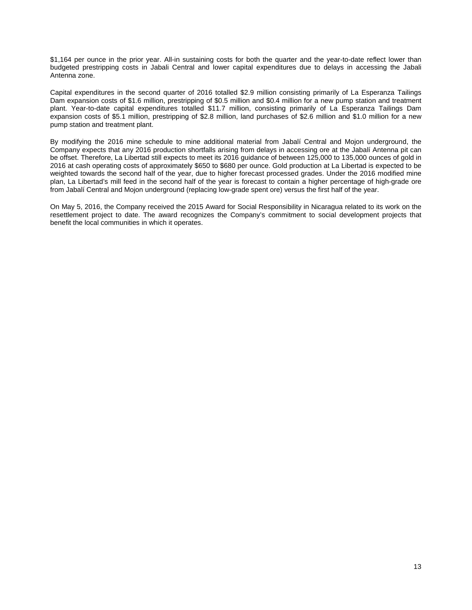\$1,164 per ounce in the prior year. All-in sustaining costs for both the quarter and the year-to-date reflect lower than budgeted prestripping costs in Jabali Central and lower capital expenditures due to delays in accessing the Jabali Antenna zone.

Capital expenditures in the second quarter of 2016 totalled \$2.9 million consisting primarily of La Esperanza Tailings Dam expansion costs of \$1.6 million, prestripping of \$0.5 million and \$0.4 million for a new pump station and treatment plant. Year-to-date capital expenditures totalled \$11.7 million, consisting primarily of La Esperanza Tailings Dam expansion costs of \$5.1 million, prestripping of \$2.8 million, land purchases of \$2.6 million and \$1.0 million for a new pump station and treatment plant.

By modifying the 2016 mine schedule to mine additional material from Jabalí Central and Mojon underground, the Company expects that any 2016 production shortfalls arising from delays in accessing ore at the Jabalí Antenna pit can be offset. Therefore, La Libertad still expects to meet its 2016 guidance of between 125,000 to 135,000 ounces of gold in 2016 at cash operating costs of approximately \$650 to \$680 per ounce. Gold production at La Libertad is expected to be weighted towards the second half of the year, due to higher forecast processed grades. Under the 2016 modified mine plan, La Libertad's mill feed in the second half of the year is forecast to contain a higher percentage of high-grade ore from Jabalí Central and Mojon underground (replacing low-grade spent ore) versus the first half of the year.

On May 5, 2016, the Company received the 2015 Award for Social Responsibility in Nicaragua related to its work on the resettlement project to date. The award recognizes the Company's commitment to social development projects that benefit the local communities in which it operates.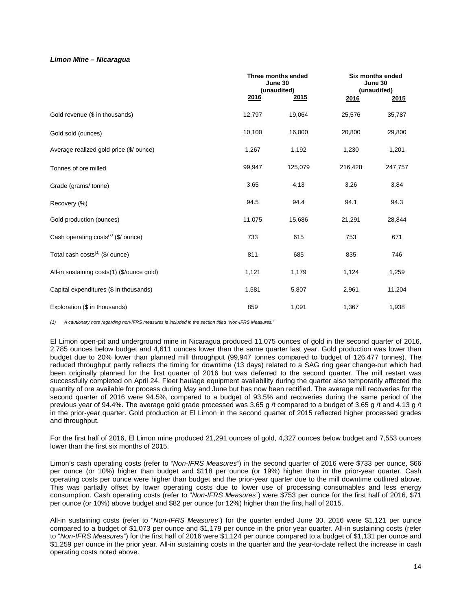# *Limon Mine – Nicaragua*

|                                                 |        | Three months ended<br>June 30<br>(unaudited) |         | Six months ended<br>June 30<br>(unaudited) |
|-------------------------------------------------|--------|----------------------------------------------|---------|--------------------------------------------|
|                                                 | 2016   | 2015                                         | 2016    | 2015                                       |
| Gold revenue (\$ in thousands)                  | 12,797 | 19,064                                       | 25,576  | 35,787                                     |
| Gold sold (ounces)                              | 10,100 | 16,000                                       | 20,800  | 29,800                                     |
| Average realized gold price (\$/ ounce)         | 1,267  | 1,192                                        | 1,230   | 1,201                                      |
| Tonnes of ore milled                            | 99,947 | 125,079                                      | 216,428 | 247,757                                    |
| Grade (grams/tonne)                             | 3.65   | 4.13                                         | 3.26    | 3.84                                       |
| Recovery (%)                                    | 94.5   | 94.4                                         | 94.1    | 94.3                                       |
| Gold production (ounces)                        | 11,075 | 15,686                                       | 21,291  | 28,844                                     |
| Cash operating costs <sup>(1)</sup> (\$/ ounce) | 733    | 615                                          | 753     | 671                                        |
| Total cash $costs^{(1)}$ (\$/ ounce)            | 811    | 685                                          | 835     | 746                                        |
| All-in sustaining costs(1) (\$/ounce gold)      | 1,121  | 1,179                                        | 1,124   | 1,259                                      |
| Capital expenditures (\$ in thousands)          | 1,581  | 5,807                                        | 2,961   | 11,204                                     |
| Exploration (\$ in thousands)                   | 859    | 1,091                                        | 1,367   | 1,938                                      |

*(1) A cautionary note regarding non-IFRS measures is included in the section titled "Non-IFRS Measures."*

El Limon open-pit and underground mine in Nicaragua produced 11,075 ounces of gold in the second quarter of 2016, 2,785 ounces below budget and 4,611 ounces lower than the same quarter last year. Gold production was lower than budget due to 20% lower than planned mill throughput (99,947 tonnes compared to budget of 126,477 tonnes). The reduced throughput partly reflects the timing for downtime (13 days) related to a SAG ring gear change-out which had been originally planned for the first quarter of 2016 but was deferred to the second quarter. The mill restart was successfully completed on April 24. Fleet haulage equipment availability during the quarter also temporarily affected the quantity of ore available for process during May and June but has now been rectified. The average mill recoveries for the second quarter of 2016 were 94.5%, compared to a budget of 93.5% and recoveries during the same period of the previous year of 94.4%. The average gold grade processed was 3.65 g /t compared to a budget of 3.65 g /t and 4.13 g /t in the prior-year quarter. Gold production at El Limon in the second quarter of 2015 reflected higher processed grades and throughput.

For the first half of 2016, El Limon mine produced 21,291 ounces of gold, 4,327 ounces below budget and 7,553 ounces lower than the first six months of 2015.

Limon's cash operating costs (refer to "*Non-IFRS Measures"*) in the second quarter of 2016 were \$733 per ounce, \$66 per ounce (or 10%) higher than budget and \$118 per ounce (or 19%) higher than in the prior-year quarter. Cash operating costs per ounce were higher than budget and the prior-year quarter due to the mill downtime outlined above. This was partially offset by lower operating costs due to lower use of processing consumables and less energy consumption. Cash operating costs (refer to "*Non-IFRS Measures"*) were \$753 per ounce for the first half of 2016, \$71 per ounce (or 10%) above budget and \$82 per ounce (or 12%) higher than the first half of 2015.

All-in sustaining costs (refer to "*Non-IFRS Measures"*) for the quarter ended June 30, 2016 were \$1,121 per ounce compared to a budget of \$1,073 per ounce and \$1,179 per ounce in the prior year quarter. All-in sustaining costs (refer to "*Non-IFRS Measures"*) for the first half of 2016 were \$1,124 per ounce compared to a budget of \$1,131 per ounce and \$1,259 per ounce in the prior year. All-in sustaining costs in the quarter and the year-to-date reflect the increase in cash operating costs noted above.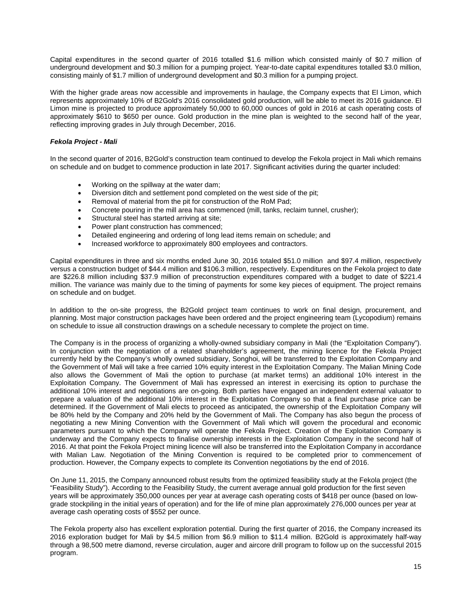Capital expenditures in the second quarter of 2016 totalled \$1.6 million which consisted mainly of \$0.7 million of underground development and \$0.3 million for a pumping project. Year-to-date capital expenditures totalled \$3.0 million, consisting mainly of \$1.7 million of underground development and \$0.3 million for a pumping project.

With the higher grade areas now accessible and improvements in haulage, the Company expects that El Limon, which represents approximately 10% of B2Gold's 2016 consolidated gold production, will be able to meet its 2016 guidance. El Limon mine is projected to produce approximately 50,000 to 60,000 ounces of gold in 2016 at cash operating costs of approximately \$610 to \$650 per ounce. Gold production in the mine plan is weighted to the second half of the year, reflecting improving grades in July through December, 2016.

# *Fekola Project - Mali*

In the second quarter of 2016, B2Gold's construction team continued to develop the Fekola project in Mali which remains on schedule and on budget to commence production in late 2017. Significant activities during the quarter included:

- Working on the spillway at the water dam;
- Diversion ditch and settlement pond completed on the west side of the pit;
- Removal of material from the pit for construction of the RoM Pad;
- Concrete pouring in the mill area has commenced (mill, tanks, reclaim tunnel, crusher);
- Structural steel has started arriving at site;
- Power plant construction has commenced;
- Detailed engineering and ordering of long lead items remain on schedule; and
- Increased workforce to approximately 800 employees and contractors.

Capital expenditures in three and six months ended June 30, 2016 totaled \$51.0 million and \$97.4 million, respectively versus a construction budget of \$44.4 million and \$106.3 million, respectively. Expenditures on the Fekola project to date are \$226.8 million including \$37.9 million of preconstruction expenditures compared with a budget to date of \$221.4 million. The variance was mainly due to the timing of payments for some key pieces of equipment. The project remains on schedule and on budget.

In addition to the on-site progress, the B2Gold project team continues to work on final design, procurement, and planning. Most major construction packages have been ordered and the project engineering team (Lycopodium) remains on schedule to issue all construction drawings on a schedule necessary to complete the project on time.

The Company is in the process of organizing a wholly-owned subsidiary company in Mali (the "Exploitation Company"). In conjunction with the negotiation of a related shareholder's agreement, the mining licence for the Fekola Project currently held by the Company's wholly owned subsidiary, Songhoi, will be transferred to the Exploitation Company and the Government of Mali will take a free carried 10% equity interest in the Exploitation Company. The Malian Mining Code also allows the Government of Mali the option to purchase (at market terms) an additional 10% interest in the Exploitation Company. The Government of Mali has expressed an interest in exercising its option to purchase the additional 10% interest and negotiations are on-going. Both parties have engaged an independent external valuator to prepare a valuation of the additional 10% interest in the Exploitation Company so that a final purchase price can be determined. If the Government of Mali elects to proceed as anticipated, the ownership of the Exploitation Company will be 80% held by the Company and 20% held by the Government of Mali. The Company has also begun the process of negotiating a new Mining Convention with the Government of Mali which will govern the procedural and economic parameters pursuant to which the Company will operate the Fekola Project. Creation of the Exploitation Company is underway and the Company expects to finalise ownership interests in the Exploitation Company in the second half of 2016. At that point the Fekola Project mining licence will also be transferred into the Exploitation Company in accordance with Malian Law. Negotiation of the Mining Convention is required to be completed prior to commencement of production. However, the Company expects to complete its Convention negotiations by the end of 2016.

On June 11, 2015, the Company announced robust results from the optimized feasibility study at the Fekola project (the "Feasibility Study"). According to the Feasibility Study, the current average annual gold production for the first seven years will be approximately 350,000 ounces per year at average cash operating costs of \$418 per ounce (based on lowgrade stockpiling in the initial years of operation) and for the life of mine plan approximately 276,000 ounces per year at average cash operating costs of \$552 per ounce.

The Fekola property also has excellent exploration potential. During the first quarter of 2016, the Company increased its 2016 exploration budget for Mali by \$4.5 million from \$6.9 million to \$11.4 million. B2Gold is approximately half-way through a 98,500 metre diamond, reverse circulation, auger and aircore drill program to follow up on the successful 2015 program.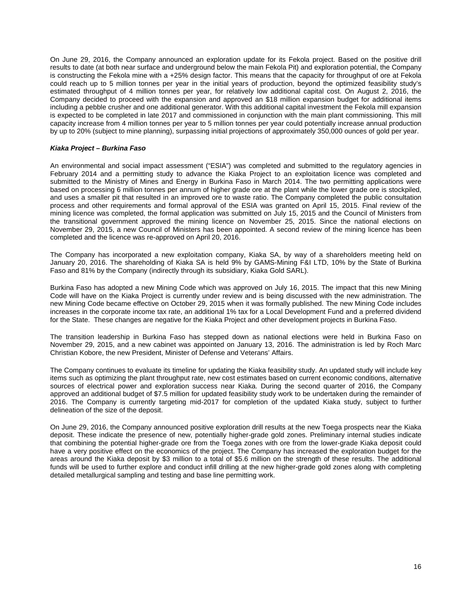On June 29, 2016, the Company announced an exploration update for its Fekola project. Based on the positive drill results to date (at both near surface and underground below the main Fekola Pit) and exploration potential, the Company is constructing the Fekola mine with a +25% design factor. This means that the capacity for throughput of ore at Fekola could reach up to 5 million tonnes per year in the initial years of production, beyond the optimized feasibility study's estimated throughput of 4 million tonnes per year, for relatively low additional capital cost. On August 2, 2016, the Company decided to proceed with the expansion and approved an \$18 million expansion budget for additional items including a pebble crusher and one additional generator. With this additional capital investment the Fekola mill expansion is expected to be completed in late 2017 and commissioned in conjunction with the main plant commissioning. This mill capacity increase from 4 million tonnes per year to 5 million tonnes per year could potentially increase annual production by up to 20% (subject to mine planning), surpassing initial projections of approximately 350,000 ounces of gold per year.

# *Kiaka Project – Burkina Faso*

An environmental and social impact assessment ("ESIA") was completed and submitted to the regulatory agencies in February 2014 and a permitting study to advance the Kiaka Project to an exploitation licence was completed and submitted to the Ministry of Mines and Energy in Burkina Faso in March 2014. The two permitting applications were based on processing 6 million tonnes per annum of higher grade ore at the plant while the lower grade ore is stockpiled, and uses a smaller pit that resulted in an improved ore to waste ratio. The Company completed the public consultation process and other requirements and formal approval of the ESIA was granted on April 15, 2015. Final review of the mining licence was completed, the formal application was submitted on July 15, 2015 and the Council of Ministers from the transitional government approved the mining licence on November 25, 2015. Since the national elections on November 29, 2015, a new Council of Ministers has been appointed. A second review of the mining licence has been completed and the licence was re-approved on April 20, 2016.

The Company has incorporated a new exploitation company, Kiaka SA, by way of a shareholders meeting held on January 20, 2016. The shareholding of Kiaka SA is held 9% by GAMS-Mining F&I LTD, 10% by the State of Burkina Faso and 81% by the Company (indirectly through its subsidiary, Kiaka Gold SARL).

Burkina Faso has adopted a new Mining Code which was approved on July 16, 2015. The impact that this new Mining Code will have on the Kiaka Project is currently under review and is being discussed with the new administration. The new Mining Code became effective on October 29, 2015 when it was formally published. The new Mining Code includes increases in the corporate income tax rate, an additional 1% tax for a Local Development Fund and a preferred dividend for the State. These changes are negative for the Kiaka Project and other development projects in Burkina Faso.

The transition leadership in Burkina Faso has stepped down as national elections were held in Burkina Faso on November 29, 2015, and a new cabinet was appointed on January 13, 2016. The administration is led by Roch Marc Christian Kobore, the new President, Minister of Defense and Veterans' Affairs.

The Company continues to evaluate its timeline for updating the Kiaka feasibility study. An updated study will include key items such as optimizing the plant throughput rate, new cost estimates based on current economic conditions, alternative sources of electrical power and exploration success near Kiaka. During the second quarter of 2016, the Company approved an additional budget of \$7.5 million for updated feasibility study work to be undertaken during the remainder of 2016. The Company is currently targeting mid-2017 for completion of the updated Kiaka study, subject to further delineation of the size of the deposit.

On June 29, 2016, the Company announced positive exploration drill results at the new Toega prospects near the Kiaka deposit. These indicate the presence of new, potentially higher-grade gold zones. Preliminary internal studies indicate that combining the potential higher-grade ore from the Toega zones with ore from the lower-grade Kiaka deposit could have a very positive effect on the economics of the project. The Company has increased the exploration budget for the areas around the Kiaka deposit by \$3 million to a total of \$5.6 million on the strength of these results. The additional funds will be used to further explore and conduct infill drilling at the new higher-grade gold zones along with completing detailed metallurgical sampling and testing and base line permitting work.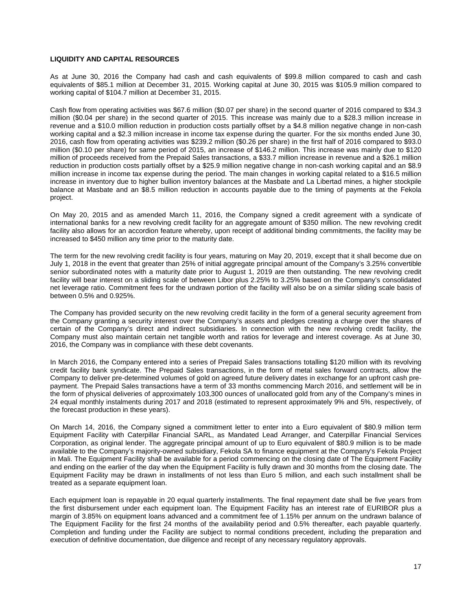# **LIQUIDITY AND CAPITAL RESOURCES**

As at June 30, 2016 the Company had cash and cash equivalents of \$99.8 million compared to cash and cash equivalents of \$85.1 million at December 31, 2015. Working capital at June 30, 2015 was \$105.9 million compared to working capital of \$104.7 million at December 31, 2015.

Cash flow from operating activities was \$67.6 million (\$0.07 per share) in the second quarter of 2016 compared to \$34.3 million (\$0.04 per share) in the second quarter of 2015. This increase was mainly due to a \$28.3 million increase in revenue and a \$10.0 million reduction in production costs partially offset by a \$4.8 million negative change in non-cash working capital and a \$2.3 million increase in income tax expense during the quarter. For the six months ended June 30, 2016, cash flow from operating activities was \$239.2 million (\$0.26 per share) in the first half of 2016 compared to \$93.0 million (\$0.10 per share) for same period of 2015, an increase of \$146.2 million. This increase was mainly due to \$120 million of proceeds received from the Prepaid Sales transactions, a \$33.7 million increase in revenue and a \$26.1 million reduction in production costs partially offset by a \$25.9 million negative change in non-cash working capital and an \$8.9 million increase in income tax expense during the period. The main changes in working capital related to a \$16.5 million increase in inventory due to higher bullion inventory balances at the Masbate and La Libertad mines, a higher stockpile balance at Masbate and an \$8.5 million reduction in accounts payable due to the timing of payments at the Fekola project.

On May 20, 2015 and as amended March 11, 2016, the Company signed a credit agreement with a syndicate of international banks for a new revolving credit facility for an aggregate amount of \$350 million. The new revolving credit facility also allows for an accordion feature whereby, upon receipt of additional binding commitments, the facility may be increased to \$450 million any time prior to the maturity date.

The term for the new revolving credit facility is four years, maturing on May 20, 2019, except that it shall become due on July 1, 2018 in the event that greater than 25% of initial aggregate principal amount of the Company's 3.25% convertible senior subordinated notes with a maturity date prior to August 1, 2019 are then outstanding. The new revolving credit facility will bear interest on a sliding scale of between Libor plus 2.25% to 3.25% based on the Company's consolidated net leverage ratio. Commitment fees for the undrawn portion of the facility will also be on a similar sliding scale basis of between 0.5% and 0.925%.

The Company has provided security on the new revolving credit facility in the form of a general security agreement from the Company granting a security interest over the Company's assets and pledges creating a charge over the shares of certain of the Company's direct and indirect subsidiaries. In connection with the new revolving credit facility, the Company must also maintain certain net tangible worth and ratios for leverage and interest coverage. As at June 30, 2016, the Company was in compliance with these debt covenants.

In March 2016, the Company entered into a series of Prepaid Sales transactions totalling \$120 million with its revolving credit facility bank syndicate. The Prepaid Sales transactions, in the form of metal sales forward contracts, allow the Company to deliver pre-determined volumes of gold on agreed future delivery dates in exchange for an upfront cash prepayment. The Prepaid Sales transactions have a term of 33 months commencing March 2016, and settlement will be in the form of physical deliveries of approximately 103,300 ounces of unallocated gold from any of the Company's mines in 24 equal monthly instalments during 2017 and 2018 (estimated to represent approximately 9% and 5%, respectively, of the forecast production in these years).

On March 14, 2016, the Company signed a commitment letter to enter into a Euro equivalent of \$80.9 million term Equipment Facility with Caterpillar Financial SARL, as Mandated Lead Arranger, and Caterpillar Financial Services Corporation, as original lender. The aggregate principal amount of up to Euro equivalent of \$80.9 million is to be made available to the Company's majority-owned subsidiary, Fekola SA to finance equipment at the Company's Fekola Project in Mali. The Equipment Facility shall be available for a period commencing on the closing date of The Equipment Facility and ending on the earlier of the day when the Equipment Facility is fully drawn and 30 months from the closing date. The Equipment Facility may be drawn in installments of not less than Euro 5 million, and each such installment shall be treated as a separate equipment loan.

Each equipment loan is repayable in 20 equal quarterly installments. The final repayment date shall be five years from the first disbursement under each equipment loan. The Equipment Facility has an interest rate of EURIBOR plus a margin of 3.85% on equipment loans advanced and a commitment fee of 1.15% per annum on the undrawn balance of The Equipment Facility for the first 24 months of the availability period and 0.5% thereafter, each payable quarterly. Completion and funding under the Facility are subject to normal conditions precedent, including the preparation and execution of definitive documentation, due diligence and receipt of any necessary regulatory approvals.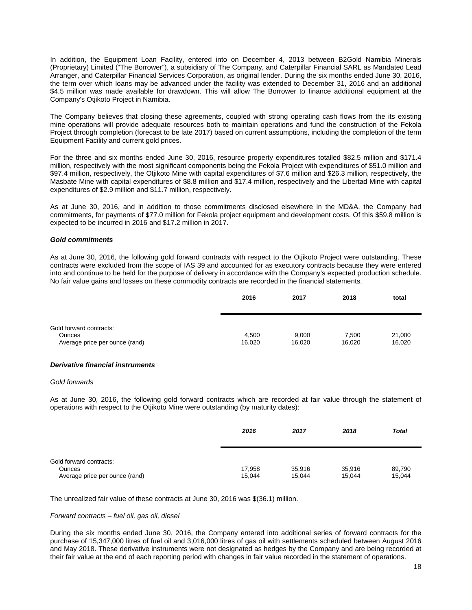In addition, the Equipment Loan Facility, entered into on December 4, 2013 between B2Gold Namibia Minerals (Proprietary) Limited ("The Borrower"), a subsidiary of The Company, and Caterpillar Financial SARL as Mandated Lead Arranger, and Caterpillar Financial Services Corporation, as original lender. During the six months ended June 30, 2016, the term over which loans may be advanced under the facility was extended to December 31, 2016 and an additional \$4.5 million was made available for drawdown. This will allow The Borrower to finance additional equipment at the Company's Otjikoto Project in Namibia.

The Company believes that closing these agreements, coupled with strong operating cash flows from the its existing mine operations will provide adequate resources both to maintain operations and fund the construction of the Fekola Project through completion (forecast to be late 2017) based on current assumptions, including the completion of the term Equipment Facility and current gold prices.

For the three and six months ended June 30, 2016, resource property expenditures totalled \$82.5 million and \$171.4 million, respectively with the most significant components being the Fekola Project with expenditures of \$51.0 million and \$97.4 million, respectively, the Otjikoto Mine with capital expenditures of \$7.6 million and \$26.3 million, respectively, the Masbate Mine with capital expenditures of \$8.8 million and \$17.4 million, respectively and the Libertad Mine with capital expenditures of \$2.9 million and \$11.7 million, respectively.

As at June 30, 2016, and in addition to those commitments disclosed elsewhere in the MD&A, the Company had commitments, for payments of \$77.0 million for Fekola project equipment and development costs. Of this \$59.8 million is expected to be incurred in 2016 and \$17.2 million in 2017.

### *Gold commitments*

As at June 30, 2016, the following gold forward contracts with respect to the Otjikoto Project were outstanding. These contracts were excluded from the scope of IAS 39 and accounted for as executory contracts because they were entered into and continue to be held for the purpose of delivery in accordance with the Company's expected production schedule. No fair value gains and losses on these commodity contracts are recorded in the financial statements.

|                                          | 2016   | 2017   | 2018   | total  |
|------------------------------------------|--------|--------|--------|--------|
|                                          |        |        |        |        |
| Gold forward contracts:<br><b>Ounces</b> | 4.500  | 9,000  | 7,500  | 21,000 |
| Average price per ounce (rand)           | 16,020 | 16,020 | 16.020 | 16,020 |

# *Derivative financial instruments*

#### *Gold forwards*

As at June 30, 2016, the following gold forward contracts which are recorded at fair value through the statement of operations with respect to the Otjikoto Mine were outstanding (by maturity dates):

|                                          | 2016   | 2017   | 2018   | <b>Total</b> |
|------------------------------------------|--------|--------|--------|--------------|
| Gold forward contracts:<br><b>Ounces</b> | 17,958 | 35,916 | 35,916 | 89,790       |
| Average price per ounce (rand)           | 15,044 | 15,044 | 15,044 | 15,044       |

The unrealized fair value of these contracts at June 30, 2016 was \$(36.1) million.

#### *Forward contracts – fuel oil, gas oil, diesel*

During the six months ended June 30, 2016, the Company entered into additional series of forward contracts for the purchase of 15,347,000 litres of fuel oil and 3,016,000 litres of gas oil with settlements scheduled between August 2016 and May 2018. These derivative instruments were not designated as hedges by the Company and are being recorded at their fair value at the end of each reporting period with changes in fair value recorded in the statement of operations.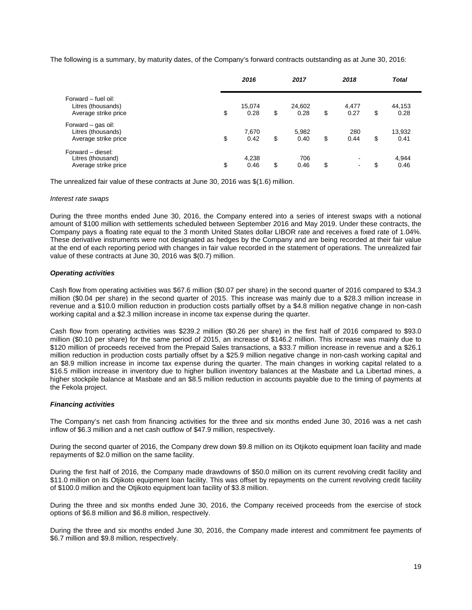The following is a summary, by maturity dates, of the Company's forward contracts outstanding as at June 30, 2016:

|                                                                   | 2016                 | 2017                 | 2018                           | <b>Total</b>         |  |
|-------------------------------------------------------------------|----------------------|----------------------|--------------------------------|----------------------|--|
| Forward – fuel oil:<br>Litres (thousands)<br>Average strike price | \$<br>15,074<br>0.28 | \$<br>24,602<br>0.28 | \$<br>4,477<br>0.27            | \$<br>44,153<br>0.28 |  |
| Forward – gas oil:<br>Litres (thousands)<br>Average strike price  | \$<br>7,670<br>0.42  | \$<br>5,982<br>0.40  | \$<br>280<br>0.44              | \$<br>13,932<br>0.41 |  |
| Forward - diesel:<br>Litres (thousand)<br>Average strike price    | \$<br>4,238<br>0.46  | \$<br>706<br>0.46    | \$<br>$\overline{\phantom{a}}$ | \$<br>4,944<br>0.46  |  |

The unrealized fair value of these contracts at June 30, 2016 was \$(1.6) million.

#### *Interest rate swaps*

During the three months ended June 30, 2016, the Company entered into a series of interest swaps with a notional amount of \$100 million with settlements scheduled between September 2016 and May 2019. Under these contracts, the Company pays a floating rate equal to the 3 month United States dollar LIBOR rate and receives a fixed rate of 1.04%. These derivative instruments were not designated as hedges by the Company and are being recorded at their fair value at the end of each reporting period with changes in fair value recorded in the statement of operations. The unrealized fair value of these contracts at June 30, 2016 was \$(0.7) million.

# *Operating activities*

Cash flow from operating activities was \$67.6 million (\$0.07 per share) in the second quarter of 2016 compared to \$34.3 million (\$0.04 per share) in the second quarter of 2015. This increase was mainly due to a \$28.3 million increase in revenue and a \$10.0 million reduction in production costs partially offset by a \$4.8 million negative change in non-cash working capital and a \$2.3 million increase in income tax expense during the quarter.

Cash flow from operating activities was \$239.2 million (\$0.26 per share) in the first half of 2016 compared to \$93.0 million (\$0.10 per share) for the same period of 2015, an increase of \$146.2 million. This increase was mainly due to \$120 million of proceeds received from the Prepaid Sales transactions, a \$33.7 million increase in revenue and a \$26.1 million reduction in production costs partially offset by a \$25.9 million negative change in non-cash working capital and an \$8.9 million increase in income tax expense during the quarter. The main changes in working capital related to a \$16.5 million increase in inventory due to higher bullion inventory balances at the Masbate and La Libertad mines, a higher stockpile balance at Masbate and an \$8.5 million reduction in accounts payable due to the timing of payments at the Fekola project.

# *Financing activities*

The Company's net cash from financing activities for the three and six months ended June 30, 2016 was a net cash inflow of \$6.3 million and a net cash outflow of \$47.9 million, respectively.

During the second quarter of 2016, the Company drew down \$9.8 million on its Otjikoto equipment loan facility and made repayments of \$2.0 million on the same facility.

During the first half of 2016, the Company made drawdowns of \$50.0 million on its current revolving credit facility and \$11.0 million on its Otiikoto equipment loan facility. This was offset by repayments on the current revolving credit facility of \$100.0 million and the Otjikoto equipment loan facility of \$3.8 million.

During the three and six months ended June 30, 2016, the Company received proceeds from the exercise of stock options of \$6.8 million and \$6.8 million, respectively.

During the three and six months ended June 30, 2016, the Company made interest and commitment fee payments of \$6.7 million and \$9.8 million, respectively.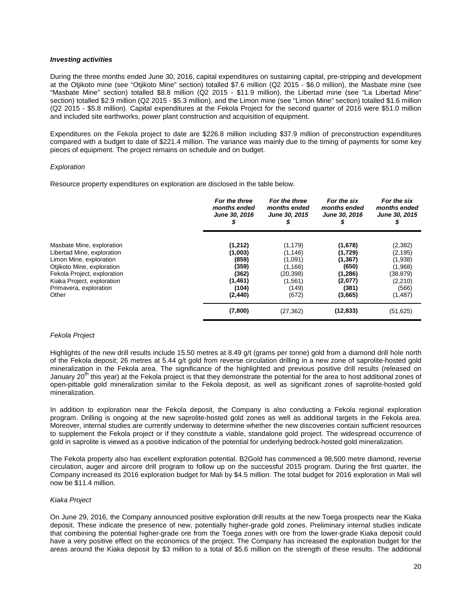#### *Investing activities*

During the three months ended June 30, 2016, capital expenditures on sustaining capital, pre-stripping and development at the Otjikoto mine (see "Otjikoto Mine" section) totalled \$7.6 million (Q2 2015 - \$6.0 million), the Masbate mine (see "Masbate Mine" section) totalled \$8.8 million (Q2 2015 - \$11.9 million), the Libertad mine (see "La Libertad Mine" section) totalled \$2.9 million (Q2 2015 - \$5.3 million), and the Limon mine (see "Limon Mine" section) totalled \$1.6 million (Q2 2015 - \$5.8 million). Capital expenditures at the Fekola Project for the second quarter of 2016 were \$51.0 million and included site earthworks, power plant construction and acquisition of equipment.

Expenditures on the Fekola project to date are \$226.8 million including \$37.9 million of preconstruction expenditures compared with a budget to date of \$221.4 million. The variance was mainly due to the timing of payments for some key pieces of equipment. The project remains on schedule and on budget.

### *Exploration*

Resource property expenditures on exploration are disclosed in the table below.

|                                                                                                                                                                                                                  | For the three<br>months ended<br>June 30, 2016                                | For the three<br>months ended<br>June 30, 2015<br>s                                   | For the six<br>months ended<br>June 30, 2016                                      | For the six<br>months ended<br>June 30, 2015                                             |
|------------------------------------------------------------------------------------------------------------------------------------------------------------------------------------------------------------------|-------------------------------------------------------------------------------|---------------------------------------------------------------------------------------|-----------------------------------------------------------------------------------|------------------------------------------------------------------------------------------|
| Masbate Mine, exploration<br>Libertad Mine, exploration<br>Limon Mine, exploration<br>Otjikoto Mine, exploration<br>Fekola Project, exploration<br>Kiaka Project, exploration<br>Primavera, exploration<br>Other | (1,212)<br>(1,003)<br>(859)<br>(359)<br>(362)<br>(1,461)<br>(104)<br>(2, 440) | (1, 179)<br>(1, 146)<br>(1,091)<br>(1, 166)<br>(20,398)<br>(1, 561)<br>(149)<br>(672) | (1,678)<br>(1,729)<br>(1, 367)<br>(650)<br>(1,286)<br>(2,077)<br>(381)<br>(3,665) | (2, 382)<br>(2, 195)<br>(1,938)<br>(1,968)<br>(38, 879)<br>(2, 210)<br>(566)<br>(1, 487) |
|                                                                                                                                                                                                                  | (7,800)                                                                       | (27, 362)                                                                             | (12, 833)                                                                         | (51, 625)                                                                                |

#### *Fekola Project*

Highlights of the new drill results include 15.50 metres at 8.49 g/t (grams per tonne) gold from a diamond drill hole north of the Fekola deposit; 26 metres at 5.44 g/t gold from reverse circulation drilling in a new zone of saprolite-hosted gold mineralization in the Fekola area. The significance of the highlighted and previous positive drill results (released on January 20<sup>th</sup> this year) at the Fekola project is that they demonstrate the potential for the area to host additional zones of open-pittable gold mineralization similar to the Fekola deposit, as well as significant zones of saprolite-hosted gold mineralization.

In addition to exploration near the Fekola deposit, the Company is also conducting a Fekola regional exploration program. Drilling is ongoing at the new saprolite-hosted gold zones as well as additional targets in the Fekola area. Moreover, internal studies are currently underway to determine whether the new discoveries contain sufficient resources to supplement the Fekola project or if they constitute a viable, standalone gold project. The widespread occurrence of gold in saprolite is viewed as a positive indication of the potential for underlying bedrock-hosted gold mineralization.

The Fekola property also has excellent exploration potential. B2Gold has commenced a 98,500 metre diamond, reverse circulation, auger and aircore drill program to follow up on the successful 2015 program. During the first quarter, the Company increased its 2016 exploration budget for Mali by \$4.5 million. The total budget for 2016 exploration in Mali will now be \$11.4 million.

# *Kiaka Project*

On June 29, 2016, the Company announced positive exploration drill results at the new Toega prospects near the Kiaka deposit. These indicate the presence of new, potentially higher-grade gold zones. Preliminary internal studies indicate that combining the potential higher-grade ore from the Toega zones with ore from the lower-grade Kiaka deposit could have a very positive effect on the economics of the project. The Company has increased the exploration budget for the areas around the Kiaka deposit by \$3 million to a total of \$5.6 million on the strength of these results. The additional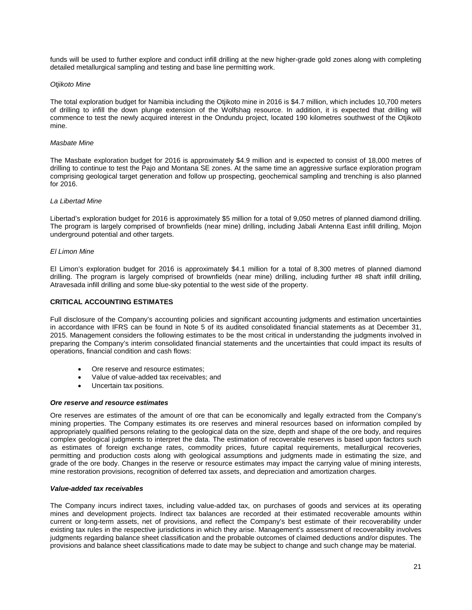funds will be used to further explore and conduct infill drilling at the new higher-grade gold zones along with completing detailed metallurgical sampling and testing and base line permitting work.

### *Otjikoto Mine*

The total exploration budget for Namibia including the Otjikoto mine in 2016 is \$4.7 million, which includes 10,700 meters of drilling to infill the down plunge extension of the Wolfshag resource. In addition, it is expected that drilling will commence to test the newly acquired interest in the Ondundu project, located 190 kilometres southwest of the Otjikoto mine.

#### *Masbate Mine*

The Masbate exploration budget for 2016 is approximately \$4.9 million and is expected to consist of 18,000 metres of drilling to continue to test the Pajo and Montana SE zones. At the same time an aggressive surface exploration program comprising geological target generation and follow up prospecting, geochemical sampling and trenching is also planned for 2016.

### *La Libertad Mine*

Libertad's exploration budget for 2016 is approximately \$5 million for a total of 9,050 metres of planned diamond drilling. The program is largely comprised of brownfields (near mine) drilling, including Jabali Antenna East infill drilling, Mojon underground potential and other targets.

### *El Limon Mine*

El Limon's exploration budget for 2016 is approximately \$4.1 million for a total of 8,300 metres of planned diamond drilling. The program is largely comprised of brownfields (near mine) drilling, including further #8 shaft infill drilling, Atravesada infill drilling and some blue-sky potential to the west side of the property.

# **CRITICAL ACCOUNTING ESTIMATES**

Full disclosure of the Company's accounting policies and significant accounting judgments and estimation uncertainties in accordance with IFRS can be found in Note 5 of its audited consolidated financial statements as at December 31, 2015. Management considers the following estimates to be the most critical in understanding the judgments involved in preparing the Company's interim consolidated financial statements and the uncertainties that could impact its results of operations, financial condition and cash flows:

- Ore reserve and resource estimates;
- Value of value-added tax receivables; and
- Uncertain tax positions.

#### *Ore reserve and resource estimates*

Ore reserves are estimates of the amount of ore that can be economically and legally extracted from the Company's mining properties. The Company estimates its ore reserves and mineral resources based on information compiled by appropriately qualified persons relating to the geological data on the size, depth and shape of the ore body, and requires complex geological judgments to interpret the data. The estimation of recoverable reserves is based upon factors such as estimates of foreign exchange rates, commodity prices, future capital requirements, metallurgical recoveries, permitting and production costs along with geological assumptions and judgments made in estimating the size, and grade of the ore body. Changes in the reserve or resource estimates may impact the carrying value of mining interests, mine restoration provisions, recognition of deferred tax assets, and depreciation and amortization charges.

#### *Value-added tax receivables*

The Company incurs indirect taxes, including value-added tax, on purchases of goods and services at its operating mines and development projects. Indirect tax balances are recorded at their estimated recoverable amounts within current or long-term assets, net of provisions, and reflect the Company's best estimate of their recoverability under existing tax rules in the respective jurisdictions in which they arise. Management's assessment of recoverability involves judgments regarding balance sheet classification and the probable outcomes of claimed deductions and/or disputes. The provisions and balance sheet classifications made to date may be subject to change and such change may be material.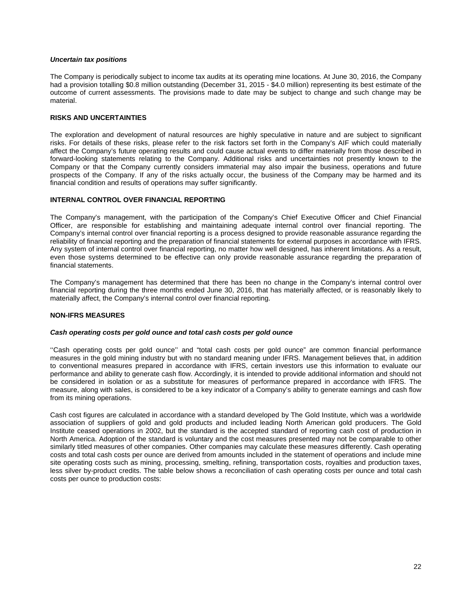### *Uncertain tax positions*

The Company is periodically subject to income tax audits at its operating mine locations. At June 30, 2016, the Company had a provision totalling \$0.8 million outstanding (December 31, 2015 - \$4.0 million) representing its best estimate of the outcome of current assessments. The provisions made to date may be subject to change and such change may be material.

### **RISKS AND UNCERTAINTIES**

The exploration and development of natural resources are highly speculative in nature and are subject to significant risks. For details of these risks, please refer to the risk factors set forth in the Company's AIF which could materially affect the Company's future operating results and could cause actual events to differ materially from those described in forward-looking statements relating to the Company. Additional risks and uncertainties not presently known to the Company or that the Company currently considers immaterial may also impair the business, operations and future prospects of the Company. If any of the risks actually occur, the business of the Company may be harmed and its financial condition and results of operations may suffer significantly.

# **INTERNAL CONTROL OVER FINANCIAL REPORTING**

The Company's management, with the participation of the Company's Chief Executive Officer and Chief Financial Officer, are responsible for establishing and maintaining adequate internal control over financial reporting. The Company's internal control over financial reporting is a process designed to provide reasonable assurance regarding the reliability of financial reporting and the preparation of financial statements for external purposes in accordance with IFRS. Any system of internal control over financial reporting, no matter how well designed, has inherent limitations. As a result, even those systems determined to be effective can only provide reasonable assurance regarding the preparation of financial statements.

The Company's management has determined that there has been no change in the Company's internal control over financial reporting during the three months ended June 30, 2016, that has materially affected, or is reasonably likely to materially affect, the Company's internal control over financial reporting.

# **NON-IFRS MEASURES**

#### *Cash operating costs per gold ounce and total cash costs per gold ounce*

''Cash operating costs per gold ounce'' and "total cash costs per gold ounce" are common financial performance measures in the gold mining industry but with no standard meaning under IFRS. Management believes that, in addition to conventional measures prepared in accordance with IFRS, certain investors use this information to evaluate our performance and ability to generate cash flow. Accordingly, it is intended to provide additional information and should not be considered in isolation or as a substitute for measures of performance prepared in accordance with IFRS. The measure, along with sales, is considered to be a key indicator of a Company's ability to generate earnings and cash flow from its mining operations.

Cash cost figures are calculated in accordance with a standard developed by The Gold Institute, which was a worldwide association of suppliers of gold and gold products and included leading North American gold producers. The Gold Institute ceased operations in 2002, but the standard is the accepted standard of reporting cash cost of production in North America. Adoption of the standard is voluntary and the cost measures presented may not be comparable to other similarly titled measures of other companies. Other companies may calculate these measures differently. Cash operating costs and total cash costs per ounce are derived from amounts included in the statement of operations and include mine site operating costs such as mining, processing, smelting, refining, transportation costs, royalties and production taxes, less silver by-product credits. The table below shows a reconciliation of cash operating costs per ounce and total cash costs per ounce to production costs: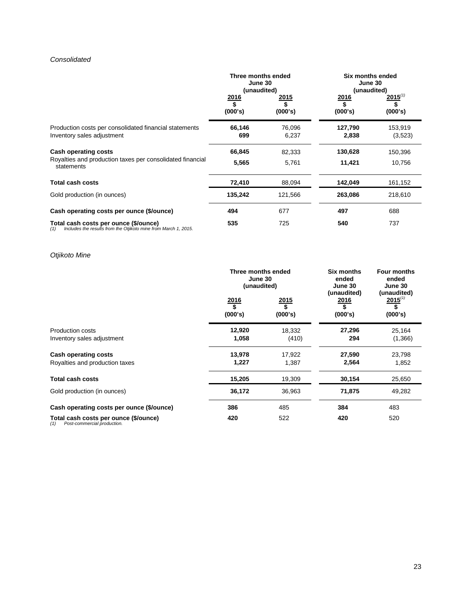# *Consolidated*

|                                                                                                                 | Three months ended<br>June 30<br>(unaudited) |                 | Six months ended<br>June 30<br>(unaudited) |                               |
|-----------------------------------------------------------------------------------------------------------------|----------------------------------------------|-----------------|--------------------------------------------|-------------------------------|
|                                                                                                                 | <u>2016</u><br>(000's)                       | 2015<br>(000's) | <u>2016</u><br>\$<br>(000's)               | $2015^{(1)}$<br>\$<br>(000's) |
| Production costs per consolidated financial statements<br>Inventory sales adjustment                            | 66,146<br>699                                | 76,096<br>6,237 | 127,790<br>2,838                           | 153,919<br>(3,523)            |
| <b>Cash operating costs</b>                                                                                     | 66,845                                       | 82,333          | 130,628                                    | 150,396                       |
| Royalties and production taxes per consolidated financial<br>statements                                         | 5,565                                        | 5,761           | 11,421                                     | 10,756                        |
| <b>Total cash costs</b>                                                                                         | 72,410                                       | 88,094          | 142,049                                    | 161,152                       |
| Gold production (in ounces)                                                                                     | 135,242                                      | 121,566         | 263,086                                    | 218,610                       |
| Cash operating costs per ounce (\$/ounce)                                                                       | 494                                          | 677             | 497                                        | 688                           |
| Total cash costs per ounce (\$/ounce)<br>Includes the results from the Otjikoto mine from March 1, 2015.<br>(1) | 535                                          | 725             | 540                                        | 737                           |

# *Otjikoto Mine*

|                                                                             | Three months ended<br>June 30<br>(unaudited) |                              | Six months<br>ended<br>June 30<br>(unaudited) | <b>Four months</b><br>ended<br>June 30<br>(unaudited) |  |
|-----------------------------------------------------------------------------|----------------------------------------------|------------------------------|-----------------------------------------------|-------------------------------------------------------|--|
|                                                                             | 2016<br>\$<br>(000's)                        | <u>2015</u><br>\$<br>(000's) | 2016<br>\$<br>(000's)                         | $2015^{(1)}$<br>\$<br>(000's)                         |  |
| Production costs<br>Inventory sales adjustment                              | 12,920<br>1,058                              | 18,332<br>(410)              | 27,296<br>294                                 | 25,164<br>(1,366)                                     |  |
| Cash operating costs<br>Royalties and production taxes                      | 13,978<br>1,227                              | 17,922<br>1,387              | 27,590<br>2,564                               | 23,798<br>1,852                                       |  |
| Total cash costs                                                            | 15,205                                       | 19,309                       | 30,154                                        | 25,650                                                |  |
| Gold production (in ounces)                                                 | 36,172                                       | 36,963                       | 71,875                                        | 49,282                                                |  |
| Cash operating costs per ounce (\$/ounce)                                   | 386                                          | 485                          | 384                                           | 483                                                   |  |
| Total cash costs per ounce (\$/ounce)<br>Post-commercial production.<br>(1) | 420                                          | 522                          | 420                                           | 520                                                   |  |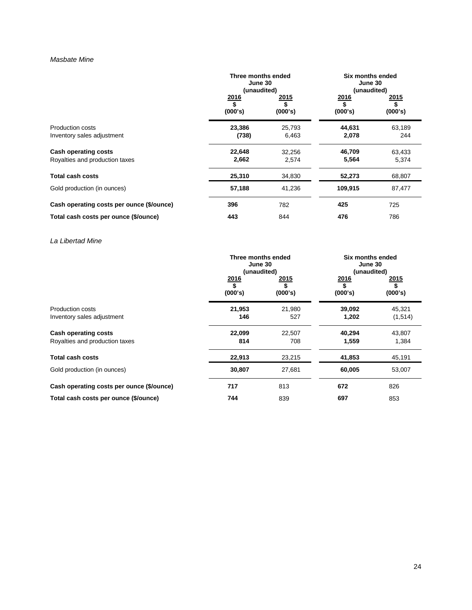# *Masbate Mine*

|                                                               | Three months ended<br>June 30<br>(unaudited) |                         | Six months ended<br>June 30<br>(unaudited) |                       |
|---------------------------------------------------------------|----------------------------------------------|-------------------------|--------------------------------------------|-----------------------|
|                                                               | 2016<br>(000's)                              | <u> 2015</u><br>(000's) | 2016<br>\$<br>(000's)                      | 2015<br>\$<br>(000's) |
| Production costs<br>Inventory sales adjustment                | 23,386<br>(738)                              | 25,793<br>6,463         | 44,631<br>2,078                            | 63,189<br>244         |
| <b>Cash operating costs</b><br>Royalties and production taxes | 22,648<br>2,662                              | 32,256<br>2,574         | 46,709<br>5,564                            | 63,433<br>5,374       |
| <b>Total cash costs</b>                                       | 25,310                                       | 34,830                  | 52,273                                     | 68,807                |
| Gold production (in ounces)                                   | 57,188                                       | 41,236                  | 109,915                                    | 87,477                |
| Cash operating costs per ounce (\$/ounce)                     | 396                                          | 782                     | 425                                        | 725                   |
| Total cash costs per ounce (\$/ounce)                         | 443                                          | 844                     | 476                                        | 786                   |

*La Libertad Mine*

|                                           | Three months ended<br>June 30<br>(unaudited) |                       |                       | Six months ended<br>June 30<br>(unaudited) |  |
|-------------------------------------------|----------------------------------------------|-----------------------|-----------------------|--------------------------------------------|--|
|                                           | 2016<br>\$<br>(000's)                        | 2015<br>\$<br>(000's) | 2016<br>\$<br>(000's) | 2015<br>\$<br>(000's)                      |  |
| <b>Production costs</b>                   | 21,953                                       | 21,980                | 39,092                | 45,321                                     |  |
| Inventory sales adjustment                | 146                                          | 527                   | 1,202                 | (1,514)                                    |  |
| <b>Cash operating costs</b>               | 22,099                                       | 22,507                | 40,294                | 43,807                                     |  |
| Royalties and production taxes            | 814                                          | 708                   | 1,559                 | 1,384                                      |  |
| <b>Total cash costs</b>                   | 22,913                                       | 23,215                | 41,853                | 45,191                                     |  |
| Gold production (in ounces)               | 30,807                                       | 27,681                | 60,005                | 53,007                                     |  |
| Cash operating costs per ounce (\$/ounce) | 717                                          | 813                   | 672                   | 826                                        |  |
| Total cash costs per ounce (\$/ounce)     | 744                                          | 839                   | 697                   | 853                                        |  |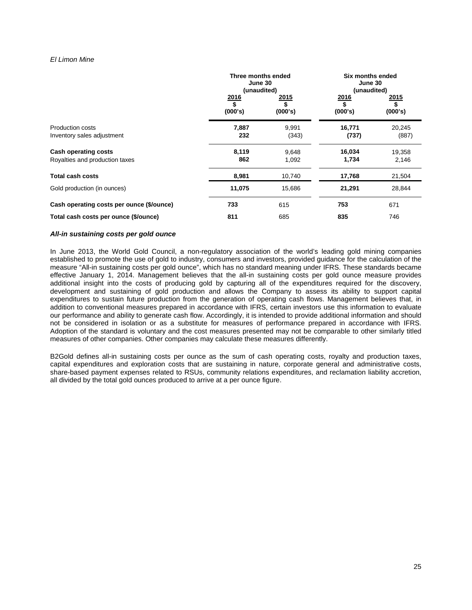# *El Limon Mine*

|                                                               | Three months ended<br>June 30<br>(unaudited) |                       | Six months ended<br>June 30<br>(unaudited) |                       |
|---------------------------------------------------------------|----------------------------------------------|-----------------------|--------------------------------------------|-----------------------|
|                                                               | <u>2016</u><br>\$<br>(000's)                 | 2015<br>\$<br>(000's) | 2016<br>\$<br>(000's)                      | 2015<br>\$<br>(000's) |
| Production costs<br>Inventory sales adjustment                | 7,887<br>232                                 | 9,991<br>(343)        | 16,771<br>(737)                            | 20,245<br>(887)       |
| <b>Cash operating costs</b><br>Royalties and production taxes | 8,119<br>862                                 | 9,648<br>1,092        | 16,034<br>1,734                            | 19,358<br>2,146       |
| <b>Total cash costs</b>                                       | 8,981                                        | 10,740                | 17,768                                     | 21,504                |
| Gold production (in ounces)                                   | 11,075                                       | 15,686                | 21,291                                     | 28,844                |
| Cash operating costs per ounce (\$/ounce)                     | 733                                          | 615                   | 753                                        | 671                   |
| Total cash costs per ounce (\$/ounce)                         | 811                                          | 685                   | 835                                        | 746                   |

### *All-in sustaining costs per gold ounce*

In June 2013, the World Gold Council, a non-regulatory association of the world's leading gold mining companies established to promote the use of gold to industry, consumers and investors, provided guidance for the calculation of the measure "All-in sustaining costs per gold ounce", which has no standard meaning under IFRS. These standards became effective January 1, 2014. Management believes that the all-in sustaining costs per gold ounce measure provides additional insight into the costs of producing gold by capturing all of the expenditures required for the discovery, development and sustaining of gold production and allows the Company to assess its ability to support capital expenditures to sustain future production from the generation of operating cash flows. Management believes that, in addition to conventional measures prepared in accordance with IFRS, certain investors use this information to evaluate our performance and ability to generate cash flow. Accordingly, it is intended to provide additional information and should not be considered in isolation or as a substitute for measures of performance prepared in accordance with IFRS. Adoption of the standard is voluntary and the cost measures presented may not be comparable to other similarly titled measures of other companies. Other companies may calculate these measures differently.

B2Gold defines all-in sustaining costs per ounce as the sum of cash operating costs, royalty and production taxes, capital expenditures and exploration costs that are sustaining in nature, corporate general and administrative costs, share-based payment expenses related to RSUs, community relations expenditures, and reclamation liability accretion, all divided by the total gold ounces produced to arrive at a per ounce figure.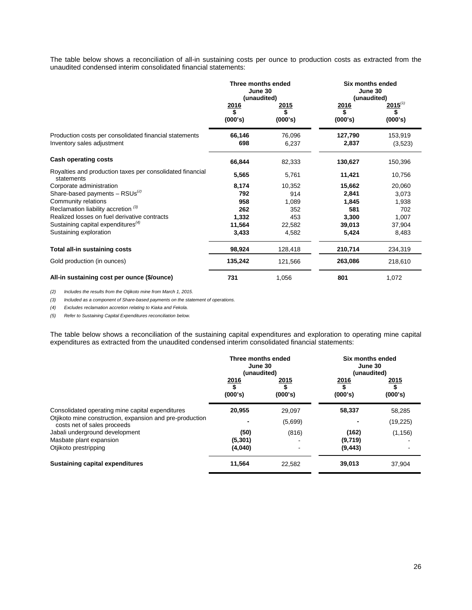The table below shows a reconciliation of all-in sustaining costs per ounce to production costs as extracted from the unaudited condensed interim consolidated financial statements:

|                                                                                      | Three months ended<br>June 30<br>(unaudited)<br>2015<br>2016 |                 | Six months ended<br>June 30<br>(unaudited)<br>$2015^{(1)}$<br><u> 2016</u> |                    |
|--------------------------------------------------------------------------------------|--------------------------------------------------------------|-----------------|----------------------------------------------------------------------------|--------------------|
|                                                                                      | \$<br>(000's)                                                | \$<br>(000's)   | \$<br>(000's)                                                              | (000's)            |
| Production costs per consolidated financial statements<br>Inventory sales adjustment | 66,146<br>698                                                | 76,096<br>6,237 | 127,790<br>2,837                                                           | 153,919<br>(3,523) |
| <b>Cash operating costs</b>                                                          | 66,844                                                       | 82,333          | 130,627                                                                    | 150,396            |
| Royalties and production taxes per consolidated financial<br>statements              | 5,565                                                        | 5,761           | 11,421                                                                     | 10,756             |
| Corporate administration                                                             | 8,174                                                        | 10,352          | 15,662                                                                     | 20,060             |
| Share-based payments $-$ RSUs <sup>(2)</sup>                                         | 792                                                          | 914             | 2,841                                                                      | 3,073              |
| Community relations                                                                  | 958                                                          | 1,089           | 1,845                                                                      | 1,938              |
| Reclamation liability accretion <sup>(3)</sup>                                       | 262                                                          | 352             | 581                                                                        | 702                |
| Realized losses on fuel derivative contracts                                         | 1,332                                                        | 453             | 3,300                                                                      | 1,007              |
| Sustaining capital expenditures $(4)$                                                | 11,564                                                       | 22,582          | 39,013                                                                     | 37,904             |
| Sustaining exploration                                                               | 3,433                                                        | 4,582           | 5,424                                                                      | 8,483              |
| Total all-in sustaining costs                                                        | 98,924                                                       | 128,418         | 210,714                                                                    | 234,319            |
| Gold production (in ounces)                                                          | 135,242                                                      | 121,566         | 263,086                                                                    | 218,610            |
| All-in sustaining cost per ounce (\$/ounce)                                          | 731                                                          | 1,056           | 801                                                                        | 1,072              |

*(2) Includes the results from the Otjikoto mine from March 1, 2015.*

*(3) Included as a component of Share-based payments on the statement of operations.* 

*(4) Excludes reclamation accretion relating to Kiaka and Fekola.*

*(5) Refer to Sustaining Capital Expenditures reconciliation below.*

The table below shows a reconciliation of the sustaining capital expenditures and exploration to operating mine capital expenditures as extracted from the unaudited condensed interim consolidated financial statements:

|                                                                                         | Three months ended<br>June 30<br>(unaudited) |                         | Six months ended<br>June 30<br>(unaudited) |                         |
|-----------------------------------------------------------------------------------------|----------------------------------------------|-------------------------|--------------------------------------------|-------------------------|
|                                                                                         | 2016<br>$\overline{\mathbf{s}}$<br>(000's)   | <u> 2015</u><br>(000's) | 2016<br>\$<br>(000's)                      | <u> 2015</u><br>(000's) |
| Consolidated operating mine capital expenditures                                        | 20,955                                       | 29,097                  | 58,337                                     | 58,285                  |
| Otjikoto mine construction, expansion and pre-production<br>costs net of sales proceeds |                                              | (5,699)                 |                                            | (19, 225)               |
| Jabali underground development                                                          | (50)                                         | (816)                   | (162)                                      | (1, 156)                |
| Masbate plant expansion                                                                 | (5,301)                                      |                         | (9,719)                                    |                         |
| Otjikoto prestripping                                                                   | (4,040)                                      |                         | (9, 443)                                   |                         |
| <b>Sustaining capital expenditures</b>                                                  | 11,564                                       | 22,582                  | 39,013                                     | 37.904                  |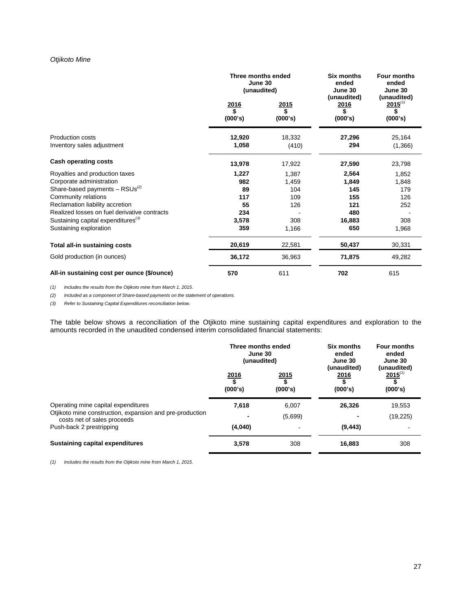# *Otjikoto Mine*

|                                                | Three months ended<br>June 30<br>(unaudited) |                              | Six months<br>ended<br>June 30              | <b>Four months</b><br>ended<br>June 30                |
|------------------------------------------------|----------------------------------------------|------------------------------|---------------------------------------------|-------------------------------------------------------|
|                                                | <u> 2016</u><br>\$<br>(000's)                | <u>2015</u><br>\$<br>(000's) | (unaudited)<br><u>2016</u><br>\$<br>(000's) | (unaudited)<br>$2015$ <sup>(1)</sup><br>\$<br>(000's) |
| Production costs                               | 12,920                                       | 18,332                       | 27,296                                      | 25,164                                                |
| Inventory sales adjustment                     | 1,058                                        | (410)                        | 294                                         | (1,366)                                               |
| <b>Cash operating costs</b>                    | 13,978                                       | 17,922                       | 27,590                                      | 23,798                                                |
| Royalties and production taxes                 | 1,227                                        | 1,387                        | 2,564                                       | 1,852                                                 |
| Corporate administration                       | 982                                          | 1,459                        | 1,849                                       | 1,848                                                 |
| Share-based payments $-$ RSUs <sup>(2)</sup>   | 89                                           | 104                          | 145                                         | 179                                                   |
| Community relations                            | 117                                          | 109                          | 155                                         | 126                                                   |
| Reclamation liability accretion                | 55                                           | 126                          | 121                                         | 252                                                   |
| Realized losses on fuel derivative contracts   | 234                                          |                              | 480                                         |                                                       |
| Sustaining capital expenditures <sup>(3)</sup> | 3,578                                        | 308                          | 16,883                                      | 308                                                   |
| Sustaining exploration                         | 359                                          | 1,166                        | 650                                         | 1,968                                                 |
| Total all-in sustaining costs                  | 20,619                                       | 22,581                       | 50,437                                      | 30,331                                                |
| Gold production (in ounces)                    | 36,172                                       | 36,963                       | 71,875                                      | 49,282                                                |
| All-in sustaining cost per ounce (\$/ounce)    | 570                                          | 611                          | 702                                         | 615                                                   |

*(1) Includes the results from the Otjikoto mine from March 1, 2015.*

*(2) Included as a component of Share-based payments on the statement of operations.* 

*(3) Refer to Sustaining Capital Expenditures reconciliation below.*

The table below shows a reconciliation of the Otjikoto mine sustaining capital expenditures and exploration to the amounts recorded in the unaudited condensed interim consolidated financial statements:

|                                                                                                                                | Three months ended<br>June 30<br>(unaudited) |                       | Six months<br>ended<br>June 30<br>(unaudited) | Four months<br>ended<br>June 30<br>(unaudited) |
|--------------------------------------------------------------------------------------------------------------------------------|----------------------------------------------|-----------------------|-----------------------------------------------|------------------------------------------------|
|                                                                                                                                | 2016<br>\$<br>(000's)                        | 2015<br>\$<br>(000's) | 2016<br>\$<br>(000's)                         | $\frac{2015^{(1)}}{\$}$<br>(000's)             |
| Operating mine capital expenditures<br>Otjikoto mine construction, expansion and pre-production<br>costs net of sales proceeds | 7.618                                        | 6,007<br>(5,699)      | 26,326                                        | 19.553<br>(19, 225)                            |
| Push-back 2 prestripping                                                                                                       | (4,040)                                      |                       | (9, 443)                                      |                                                |
| Sustaining capital expenditures                                                                                                | 3,578                                        | 308                   | 16,883                                        | 308                                            |

*(1) Includes the results from the Otjikoto mine from March 1, 2015.*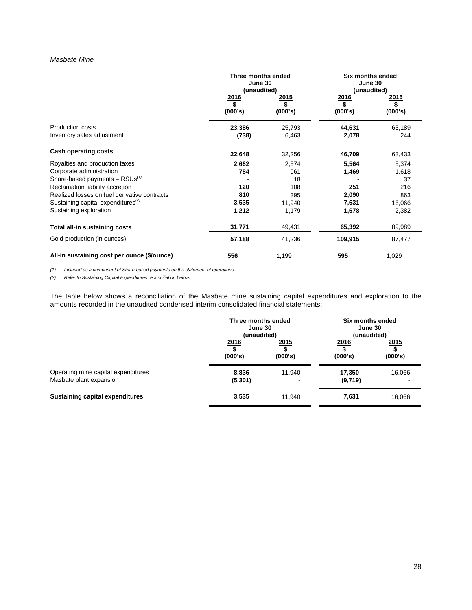### *Masbate Mine*

|                                                       | Three months ended<br>June 30<br>(unaudited) |                        |                               | <b>Six months ended</b><br>June 30<br>(unaudited) |  |
|-------------------------------------------------------|----------------------------------------------|------------------------|-------------------------------|---------------------------------------------------|--|
|                                                       | 2016<br>\$<br>(000's)                        | <u>2015</u><br>(000's) | <u> 2016</u><br>\$<br>(000's) | <u> 2015</u><br>(000's)                           |  |
| <b>Production costs</b><br>Inventory sales adjustment | 23,386<br>(738)                              | 25,793<br>6,463        | 44,631<br>2,078               | 63,189<br>244                                     |  |
| Cash operating costs                                  | 22,648                                       | 32,256                 | 46,709                        | 63,433                                            |  |
| Royalties and production taxes                        | 2,662                                        | 2,574                  | 5,564                         | 5,374                                             |  |
| Corporate administration                              | 784                                          | 961                    | 1,469                         | 1,618                                             |  |
| Share-based payments $-$ RSUs <sup>(1)</sup>          |                                              | 18                     |                               | 37                                                |  |
| Reclamation liability accretion                       | 120                                          | 108                    | 251                           | 216                                               |  |
| Realized losses on fuel derivative contracts          | 810                                          | 395                    | 2,090                         | 863                                               |  |
| Sustaining capital expenditures <sup>(2)</sup>        | 3,535                                        | 11,940                 | 7,631                         | 16,066                                            |  |
| Sustaining exploration                                | 1,212                                        | 1,179                  | 1,678                         | 2,382                                             |  |
| Total all-in sustaining costs                         | 31,771                                       | 49,431                 | 65,392                        | 89,989                                            |  |
| Gold production (in ounces)                           | 57,188                                       | 41,236                 | 109,915                       | 87,477                                            |  |
| All-in sustaining cost per ounce (\$/ounce)           | 556                                          | 1,199                  | 595                           | 1,029                                             |  |

*(1) Included as a component of Share-based payments on the statement of operations.*

*(2) Refer to Sustaining Capital Expenditures reconciliation below.* 

The table below shows a reconciliation of the Masbate mine sustaining capital expenditures and exploration to the amounts recorded in the unaudited condensed interim consolidated financial statements:

|                                        | Three months ended<br>June 30<br>(unaudited) |                | Six months ended<br>June 30<br>(unaudited) |             |
|----------------------------------------|----------------------------------------------|----------------|--------------------------------------------|-------------|
|                                        | 2016                                         | 2015           | 2016                                       | <u>2015</u> |
|                                        | (000's)                                      | (000's)        | (000's)                                    | (000's)     |
| Operating mine capital expenditures    | 8,836                                        | 11.940         | 17,350                                     | 16,066      |
| Masbate plant expansion                | (5,301)                                      | $\blacksquare$ | (9,719)                                    |             |
| <b>Sustaining capital expenditures</b> | 3,535                                        | 11.940         | 7,631                                      | 16,066      |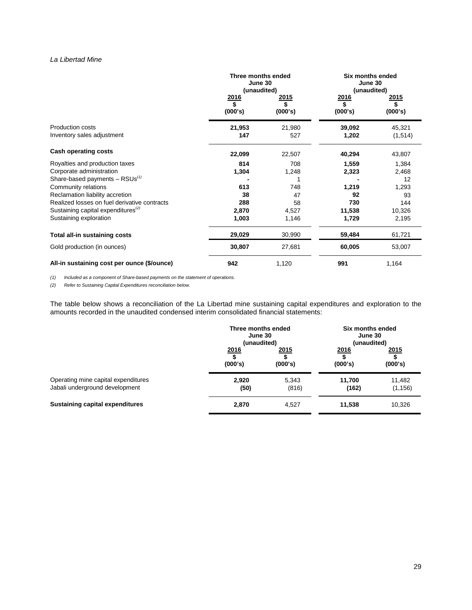# *La Libertad Mine*

|                                                       | Three months ended<br>June 30<br>(unaudited) |                       |                               | Six months ended<br>June 30<br>(unaudited) |  |
|-------------------------------------------------------|----------------------------------------------|-----------------------|-------------------------------|--------------------------------------------|--|
|                                                       | <u> 2016</u><br>\$<br>(000's)                | 2015<br>\$<br>(000's) | <u> 2016</u><br>\$<br>(000's) | 2015<br>\$<br>(000's)                      |  |
| <b>Production costs</b><br>Inventory sales adjustment | 21,953<br>147                                | 21,980<br>527         | 39,092<br>1,202               | 45,321<br>(1,514)                          |  |
| <b>Cash operating costs</b>                           | 22,099                                       | 22,507                | 40,294                        | 43,807                                     |  |
| Royalties and production taxes                        | 814                                          | 708                   | 1,559                         | 1,384                                      |  |
| Corporate administration                              | 1,304                                        | 1,248                 | 2,323                         | 2,468                                      |  |
| Share-based payments $-$ RSUs <sup>(1)</sup>          |                                              |                       |                               | 12                                         |  |
| Community relations                                   | 613                                          | 748                   | 1,219                         | 1,293                                      |  |
| Reclamation liability accretion                       | 38                                           | 47                    | 92                            | 93                                         |  |
| Realized losses on fuel derivative contracts          | 288                                          | 58                    | 730                           | 144                                        |  |
| Sustaining capital expenditures <sup>(2)</sup>        | 2,870                                        | 4,527                 | 11,538                        | 10,326                                     |  |
| Sustaining exploration                                | 1,003                                        | 1,146                 | 1,729                         | 2,195                                      |  |
| Total all-in sustaining costs                         | 29,029                                       | 30,990                | 59,484                        | 61,721                                     |  |
| Gold production (in ounces)                           | 30,807                                       | 27,681                | 60,005                        | 53,007                                     |  |
| All-in sustaining cost per ounce (\$/ounce)           | 942                                          | 1,120                 | 991                           | 1,164                                      |  |

*(1) Included as a component of Share-based payments on the statement of operations.*

*(2) Refer to Sustaining Capital Expenditures reconciliation below.* 

The table below shows a reconciliation of the La Libertad mine sustaining capital expenditures and exploration to the amounts recorded in the unaudited condensed interim consolidated financial statements:

|                                        | Three months ended<br>June 30<br>(unaudited) |         | Six months ended<br>June 30<br>(unaudited) |          |
|----------------------------------------|----------------------------------------------|---------|--------------------------------------------|----------|
|                                        | 2016                                         | 2015    | <u>2016</u>                                | 2015     |
|                                        | (000's)                                      | (000's) | (000's)                                    | (000's)  |
| Operating mine capital expenditures    | 2,920                                        | 5,343   | 11,700                                     | 11,482   |
| Jabali underground development         | (50)                                         | (816)   | (162)                                      | (1, 156) |
| <b>Sustaining capital expenditures</b> | 2,870                                        | 4.527   | 11,538                                     | 10,326   |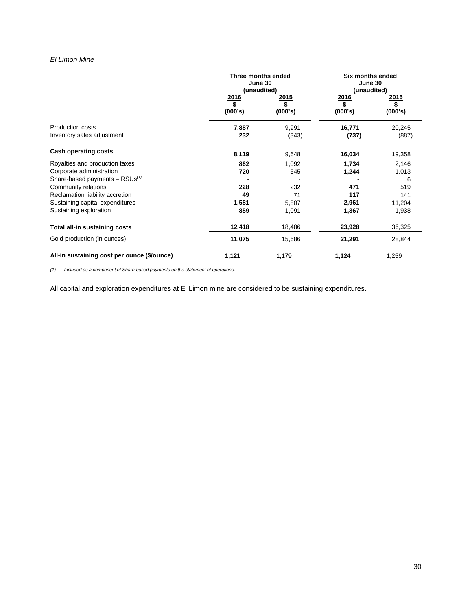# *El Limon Mine*

|                                                       | Three months ended<br>June 30<br>(unaudited) |                       | <b>Six months ended</b><br>June 30<br>(unaudited) |                       |
|-------------------------------------------------------|----------------------------------------------|-----------------------|---------------------------------------------------|-----------------------|
|                                                       | 2016<br>\$<br>(000's)                        | 2015<br>\$<br>(000's) | 2016<br>\$<br>(000's)                             | 2015<br>\$<br>(000's) |
| <b>Production costs</b><br>Inventory sales adjustment | 7,887<br>232                                 | 9,991<br>(343)        | 16,771<br>(737)                                   | 20,245<br>(887)       |
| <b>Cash operating costs</b>                           | 8,119                                        | 9,648                 | 16,034                                            | 19,358                |
| Royalties and production taxes                        | 862                                          | 1,092                 | 1,734                                             | 2,146                 |
| Corporate administration                              | 720                                          | 545                   | 1,244                                             | 1,013                 |
| Share-based payments $-$ RSUs <sup>(1)</sup>          |                                              |                       |                                                   | 6                     |
| Community relations                                   | 228                                          | 232                   | 471                                               | 519                   |
| Reclamation liability accretion                       | 49                                           | 71                    | 117                                               | 141                   |
| Sustaining capital expenditures                       | 1,581                                        | 5,807                 | 2,961                                             | 11,204                |
| Sustaining exploration                                | 859                                          | 1,091                 | 1,367                                             | 1,938                 |
| Total all-in sustaining costs                         | 12,418                                       | 18,486                | 23,928                                            | 36,325                |
| Gold production (in ounces)                           | 11,075                                       | 15,686                | 21,291                                            | 28,844                |
| All-in sustaining cost per ounce (\$/ounce)           | 1,121                                        | 1,179                 | 1,124                                             | 1,259                 |

*(1) Included as a component of Share-based payments on the statement of operations.*

All capital and exploration expenditures at El Limon mine are considered to be sustaining expenditures.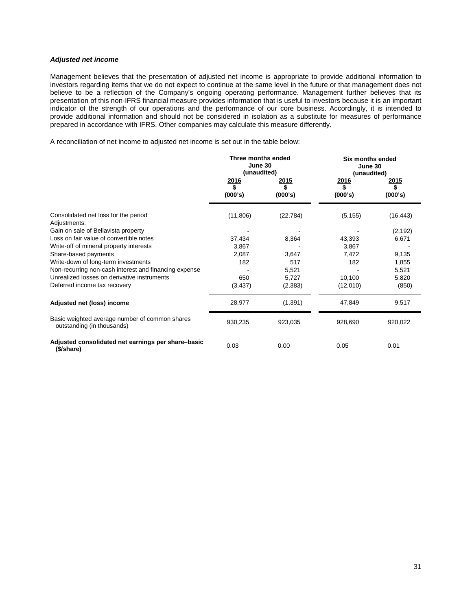# *Adjusted net income*

Management believes that the presentation of adjusted net income is appropriate to provide additional information to investors regarding items that we do not expect to continue at the same level in the future or that management does not believe to be a reflection of the Company's ongoing operating performance. Management further believes that its presentation of this non-IFRS financial measure provides information that is useful to investors because it is an important indicator of the strength of our operations and the performance of our core business. Accordingly, it is intended to provide additional information and should not be considered in isolation as a substitute for measures of performance prepared in accordance with IFRS. Other companies may calculate this measure differently.

A reconciliation of net income to adjusted net income is set out in the table below:

|                                                                              | Three months ended<br>June 30<br>(unaudited) |                       | Six months ended<br>June 30<br>(unaudited) |                                |
|------------------------------------------------------------------------------|----------------------------------------------|-----------------------|--------------------------------------------|--------------------------------|
|                                                                              | <u> 2016 </u><br>\$<br>(000's)               | 2015<br>\$<br>(000's) | <u> 2016</u><br>\$<br>(000's)              | <u> 2015 </u><br>\$<br>(000's) |
| Consolidated net loss for the period<br>Adjustments:                         | (11,806)                                     | (22, 784)             | (5, 155)                                   | (16, 443)                      |
| Gain on sale of Bellavista property                                          |                                              |                       |                                            | (2, 192)                       |
| Loss on fair value of convertible notes                                      | 37,434                                       | 8,364                 | 43,393                                     | 6,671                          |
| Write-off of mineral property interests                                      | 3,867                                        |                       | 3,867                                      |                                |
| Share-based payments                                                         | 2,087                                        | 3,647                 | 7,472                                      | 9,135                          |
| Write-down of long-term investments                                          | 182                                          | 517                   | 182                                        | 1,855                          |
| Non-recurring non-cash interest and financing expense                        |                                              | 5,521                 |                                            | 5,521                          |
| Unrealized losses on derivative instruments                                  | 650                                          | 5,727                 | 10,100                                     | 5,820                          |
| Deferred income tax recovery                                                 | (3, 437)                                     | (2,383)               | (12,010)                                   | (850)                          |
| Adjusted net (loss) income                                                   | 28,977                                       | (1, 391)              | 47,849                                     | 9,517                          |
| Basic weighted average number of common shares<br>outstanding (in thousands) | 930,235                                      | 923,035               | 928,690                                    | 920,022                        |
| Adjusted consolidated net earnings per share-basic<br>(\$/share)             | 0.03                                         | 0.00                  | 0.05                                       | 0.01                           |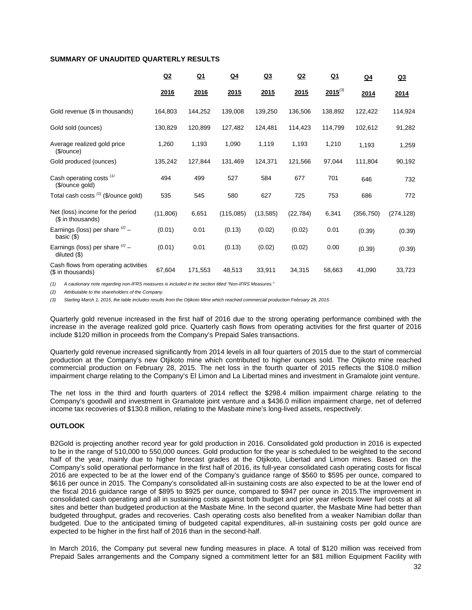# **SUMMARY OF UNAUDITED QUARTERLY RESULTS**

|                                                           | Q2        | $Q_1$   | $Q_4$     | <u>Q3</u> | Q2        | $Q_1$        | <u>Q4</u>  | Q <sub>3</sub> |
|-----------------------------------------------------------|-----------|---------|-----------|-----------|-----------|--------------|------------|----------------|
|                                                           | 2016      | 2016    | 2015      | 2015      | 2015      | $2015^{(3)}$ | 2014       | 2014           |
| Gold revenue (\$ in thousands)                            | 164,803   | 144,252 | 139,008   | 139,250   | 136,506   | 138,892      | 122,422    | 114,924        |
| Gold sold (ounces)                                        | 130,829   | 120,899 | 127,482   | 124,481   | 114,423   | 114,799      | 102,612    | 91,282         |
| Average realized gold price<br>(\$/ounce)                 | 1,260     | 1,193   | 1,090     | 1,119     | 1,193     | 1,210        | 1,193      | 1,259          |
| Gold produced (ounces)                                    | 135,242   | 127,844 | 131,469   | 124,371   | 121,566   | 97,044       | 111,804    | 90,192         |
| Cash operating costs <sup>(1)</sup><br>(\$/ounce gold)    | 494       | 499     | 527       | 584       | 677       | 701          | 646        | 732            |
| Total cash costs (1) (\$/ounce gold)                      | 535       | 545     | 580       | 627       | 725       | 753          | 686        | 772            |
| Net (loss) income for the period<br>(\$ in thousands)     | (11, 806) | 6,651   | (115,085) | (13, 585) | (22, 784) | 6,341        | (356, 750) | (274, 128)     |
| Earnings (loss) per share $^{(2)}$ -<br>basic $(\$)$      | (0.01)    | 0.01    | (0.13)    | (0.02)    | (0.02)    | 0.01         | (0.39)     | (0.39)         |
| Earnings (loss) per share $(2)$ -<br>diluted $(\$)$       | (0.01)    | 0.01    | (0.13)    | (0.02)    | (0.02)    | 0.00         | (0.39)     | (0.39)         |
| Cash flows from operating activities<br>(\$ in thousands) | 67,604    | 171,553 | 48,513    | 33,911    | 34,315    | 58,663       | 41,090     | 33,723         |

*(1) A cautionary note regarding non-IFRS measures is included in the section titled "Non-IFRS Measures."* 

*(2) Attributable to the shareholders of the Company.*

*(3) Starting March 1, 2015, the table includes results from the Otjikoto Mine which reached commercial production February 28, 2015.*

Quarterly gold revenue increased in the first half of 2016 due to the strong operating performance combined with the increase in the average realized gold price. Quarterly cash flows from operating activities for the first quarter of 2016 include \$120 million in proceeds from the Company's Prepaid Sales transactions.

Quarterly gold revenue increased significantly from 2014 levels in all four quarters of 2015 due to the start of commercial production at the Company's new Otjikoto mine which contributed to higher ounces sold. The Otjikoto mine reached commercial production on February 28, 2015. The net loss in the fourth quarter of 2015 reflects the \$108.0 million impairment charge relating to the Company's El Limon and La Libertad mines and investment in Gramalote joint venture.

The net loss in the third and fourth quarters of 2014 reflect the \$298.4 million impairment charge relating to the Company's goodwill and investment in Gramalote joint venture and a \$436.0 million impairment charge, net of deferred income tax recoveries of \$130.8 million, relating to the Masbate mine's long-lived assets, respectively.

# **OUTLOOK**

B2Gold is projecting another record year for gold production in 2016. Consolidated gold production in 2016 is expected to be in the range of 510,000 to 550,000 ounces. Gold production for the year is scheduled to be weighted to the second half of the year, mainly due to higher forecast grades at the Otjikoto, Libertad and Limon mines. Based on the Company's solid operational performance in the first half of 2016, its full-year consolidated cash operating costs for fiscal 2016 are expected to be at the lower end of the Company's guidance range of \$560 to \$595 per ounce, compared to \$616 per ounce in 2015. The Company's consolidated all-in sustaining costs are also expected to be at the lower end of the fiscal 2016 guidance range of \$895 to \$925 per ounce, compared to \$947 per ounce in 2015.The improvement in consolidated cash operating and all in sustaining costs against both budget and prior year reflects lower fuel costs at all sites and better than budgeted production at the Masbate Mine. In the second quarter, the Masbate Mine had better than budgeted throughput, grades and recoveries. Cash operating costs also benefited from a weaker Namibian dollar than budgeted. Due to the anticipated timing of budgeted capital expenditures, all-in sustaining costs per gold ounce are expected to be higher in the first half of 2016 than in the second-half.

In March 2016, the Company put several new funding measures in place. A total of \$120 million was received from Prepaid Sales arrangements and the Company signed a commitment letter for an \$81 million Equipment Facility with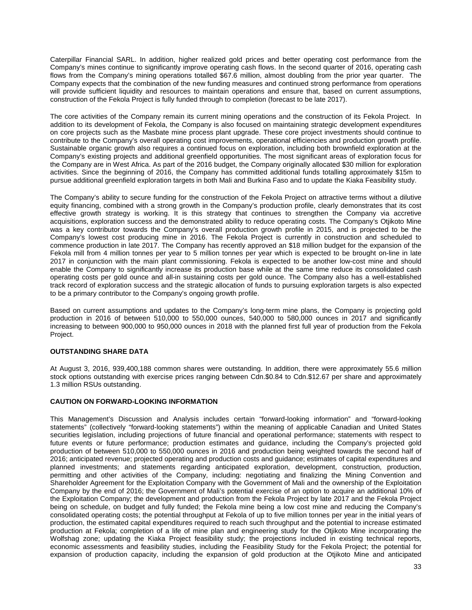Caterpillar Financial SARL. In addition, higher realized gold prices and better operating cost performance from the Company's mines continue to significantly improve operating cash flows. In the second quarter of 2016, operating cash flows from the Company's mining operations totalled \$67.6 million, almost doubling from the prior year quarter. The Company expects that the combination of the new funding measures and continued strong performance from operations will provide sufficient liquidity and resources to maintain operations and ensure that, based on current assumptions, construction of the Fekola Project is fully funded through to completion (forecast to be late 2017).

The core activities of the Company remain its current mining operations and the construction of its Fekola Project. In addition to its development of Fekola, the Company is also focused on maintaining strategic development expenditures on core projects such as the Masbate mine process plant upgrade. These core project investments should continue to contribute to the Company's overall operating cost improvements, operational efficiencies and production growth profile. Sustainable organic growth also requires a continued focus on exploration, including both brownfield exploration at the Company's existing projects and additional greenfield opportunities. The most significant areas of exploration focus for the Company are in West Africa. As part of the 2016 budget, the Company originally allocated \$30 million for exploration activities. Since the beginning of 2016, the Company has committed additional funds totalling approximately \$15m to pursue additional greenfield exploration targets in both Mali and Burkina Faso and to update the Kiaka Feasibility study.

The Company's ability to secure funding for the construction of the Fekola Project on attractive terms without a dilutive equity financing, combined with a strong growth in the Company's production profile, clearly demonstrates that its cost effective growth strategy is working. It is this strategy that continues to strengthen the Company via accretive acquisitions, exploration success and the demonstrated ability to reduce operating costs. The Company's Otjikoto Mine was a key contributor towards the Company's overall production growth profile in 2015, and is projected to be the Company's lowest cost producing mine in 2016. The Fekola Project is currently in construction and scheduled to commence production in late 2017. The Company has recently approved an \$18 million budget for the expansion of the Fekola mill from 4 million tonnes per year to 5 million tonnes per year which is expected to be brought on-line in late 2017 in conjunction with the main plant commissioning. Fekola is expected to be another low-cost mine and should enable the Company to significantly increase its production base while at the same time reduce its consolidated cash operating costs per gold ounce and all-in sustaining costs per gold ounce. The Company also has a well-established track record of exploration success and the strategic allocation of funds to pursuing exploration targets is also expected to be a primary contributor to the Company's ongoing growth profile.

Based on current assumptions and updates to the Company's long-term mine plans, the Company is projecting gold production in 2016 of between 510,000 to 550,000 ounces, 540,000 to 580,000 ounces in 2017 and significantly increasing to between 900,000 to 950,000 ounces in 2018 with the planned first full year of production from the Fekola Project.

# **OUTSTANDING SHARE DATA**

At August 3, 2016, 939,400,188 common shares were outstanding. In addition, there were approximately 55.6 million stock options outstanding with exercise prices ranging between Cdn.\$0.84 to Cdn.\$12.67 per share and approximately 1.3 million RSUs outstanding.

# **CAUTION ON FORWARD-LOOKING INFORMATION**

This Management's Discussion and Analysis includes certain "forward-looking information" and "forward-looking statements" (collectively "forward-looking statements") within the meaning of applicable Canadian and United States securities legislation, including projections of future financial and operational performance; statements with respect to future events or future performance; production estimates and guidance, including the Company's projected gold production of between 510,000 to 550,000 ounces in 2016 and production being weighted towards the second half of 2016; anticipated revenue; projected operating and production costs and guidance; estimates of capital expenditures and planned investments; and statements regarding anticipated exploration, development, construction, production, permitting and other activities of the Company, including: negotiating and finalizing the Mining Convention and Shareholder Agreement for the Exploitation Company with the Government of Mali and the ownership of the Exploitation Company by the end of 2016; the Government of Mali's potential exercise of an option to acquire an additional 10% of the Exploitation Company; the development and production from the Fekola Project by late 2017 and the Fekola Project being on schedule, on budget and fully funded; the Fekola mine being a low cost mine and reducing the Company's consolidated operating costs; the potential throughput at Fekola of up to five million tonnes per year in the initial years of production, the estimated capital expenditures required to reach such throughput and the potential to increase estimated production at Fekola; completion of a life of mine plan and engineering study for the Otjikoto Mine incorporating the Wolfshag zone; updating the Kiaka Project feasibility study; the projections included in existing technical reports, economic assessments and feasibility studies, including the Feasibility Study for the Fekola Project; the potential for expansion of production capacity, including the expansion of gold production at the Otjikoto Mine and anticipated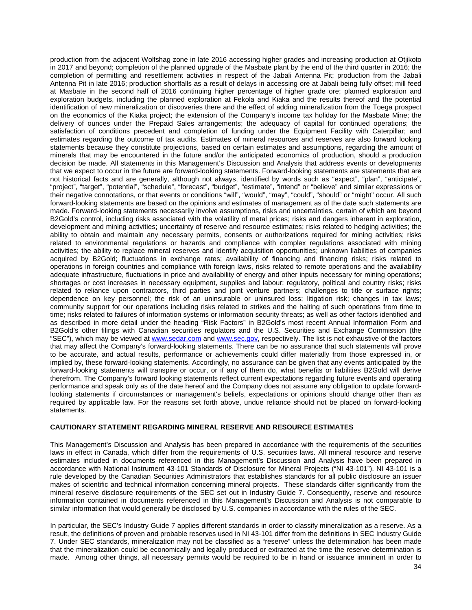production from the adjacent Wolfshag zone in late 2016 accessing higher grades and increasing production at Otjikoto in 2017 and beyond; completion of the planned upgrade of the Masbate plant by the end of the third quarter in 2016; the completion of permitting and resettlement activities in respect of the Jabali Antenna Pit; production from the Jabali Antenna Pit in late 2016; production shortfalls as a result of delays in accessing ore at Jabali being fully offset; mill feed at Masbate in the second half of 2016 continuing higher percentage of higher grade ore; planned exploration and exploration budgets, including the planned exploration at Fekola and Kiaka and the results thereof and the potential identification of new mineralization or discoveries there and the effect of adding mineralization from the Toega prospect on the economics of the Kiaka project; the extension of the Company's income tax holiday for the Masbate Mine; the delivery of ounces under the Prepaid Sales arrangements; the adequacy of capital for continued operations; the satisfaction of conditions precedent and completion of funding under the Equipment Facility with Caterpillar; and estimates regarding the outcome of tax audits. Estimates of mineral resources and reserves are also forward looking statements because they constitute projections, based on certain estimates and assumptions, regarding the amount of minerals that may be encountered in the future and/or the anticipated economics of production, should a production decision be made. All statements in this Management's Discussion and Analysis that address events or developments that we expect to occur in the future are forward-looking statements. Forward-looking statements are statements that are not historical facts and are generally, although not always, identified by words such as "expect", "plan", "anticipate", "project", "target", "potential", "schedule", "forecast", "budget", "estimate", "intend" or "believe" and similar expressions or their negative connotations, or that events or conditions "will", "would", "may", "could", "should" or "might" occur. All such forward-looking statements are based on the opinions and estimates of management as of the date such statements are made. Forward-looking statements necessarily involve assumptions, risks and uncertainties, certain of which are beyond B2Gold's control, including risks associated with the volatility of metal prices; risks and dangers inherent in exploration, development and mining activities; uncertainty of reserve and resource estimates; risks related to hedging activities; the ability to obtain and maintain any necessary permits, consents or authorizations required for mining activities; risks related to environmental regulations or hazards and compliance with complex regulations associated with mining activities; the ability to replace mineral reserves and identify acquisition opportunities; unknown liabilities of companies acquired by B2Gold; fluctuations in exchange rates; availability of financing and financing risks; risks related to operations in foreign countries and compliance with foreign laws, risks related to remote operations and the availability adequate infrastructure, fluctuations in price and availability of energy and other inputs necessary for mining operations; shortages or cost increases in necessary equipment, supplies and labour; regulatory, political and country risks; risks related to reliance upon contractors, third parties and joint venture partners; challenges to title or surface rights; dependence on key personnel; the risk of an uninsurable or uninsured loss; litigation risk; changes in tax laws; community support for our operations including risks related to strikes and the halting of such operations from time to time; risks related to failures of information systems or information security threats; as well as other factors identified and as described in more detail under the heading "Risk Factors" in B2Gold's most recent Annual Information Form and B2Gold's other filings with Canadian securities regulators and the U.S. Securities and Exchange Commission (the "SEC"), which may be viewed at [www.sedar.com](http://www.sedar.com/) and [www.sec.gov,](http://www.sec.gov/) respectively. The list is not exhaustive of the factors that may affect the Company's forward-looking statements. There can be no assurance that such statements will prove to be accurate, and actual results, performance or achievements could differ materially from those expressed in, or implied by, these forward-looking statements. Accordingly, no assurance can be given that any events anticipated by the forward-looking statements will transpire or occur, or if any of them do, what benefits or liabilities B2Gold will derive therefrom. The Company's forward looking statements reflect current expectations regarding future events and operating performance and speak only as of the date hereof and the Company does not assume any obligation to update forwardlooking statements if circumstances or management's beliefs, expectations or opinions should change other than as required by applicable law. For the reasons set forth above, undue reliance should not be placed on forward-looking statements.

# **CAUTIONARY STATEMENT REGARDING MINERAL RESERVE AND RESOURCE ESTIMATES**

This Management's Discussion and Analysis has been prepared in accordance with the requirements of the securities laws in effect in Canada, which differ from the requirements of U.S. securities laws. All mineral resource and reserve estimates included in documents referenced in this Management's Discussion and Analysis have been prepared in accordance with National Instrument 43-101 Standards of Disclosure for Mineral Projects ("NI 43-101"). NI 43-101 is a rule developed by the Canadian Securities Administrators that establishes standards for all public disclosure an issuer makes of scientific and technical information concerning mineral projects. These standards differ significantly from the mineral reserve disclosure requirements of the SEC set out in Industry Guide 7. Consequently, reserve and resource information contained in documents referenced in this Management's Discussion and Analysis is not comparable to similar information that would generally be disclosed by U.S. companies in accordance with the rules of the SEC.

In particular, the SEC's Industry Guide 7 applies different standards in order to classify mineralization as a reserve. As a result, the definitions of proven and probable reserves used in NI 43-101 differ from the definitions in SEC Industry Guide 7. Under SEC standards, mineralization may not be classified as a "reserve" unless the determination has been made that the mineralization could be economically and legally produced or extracted at the time the reserve determination is made. Among other things, all necessary permits would be required to be in hand or issuance imminent in order to